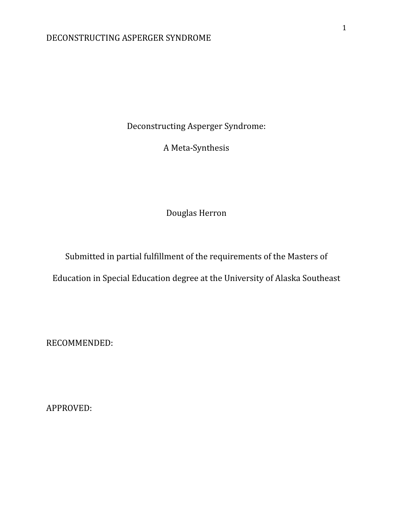Deconstructing Asperger Syndrome:

A Meta-Synthesis

Douglas Herron

Submitted in partial fulfillment of the requirements of the Masters of

Education in Special Education degree at the University of Alaska Southeast

RECOMMENDED:

APPROVED: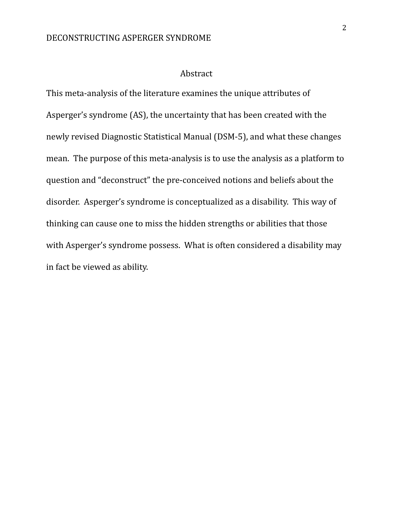#### Abstract

This meta-analysis of the literature examines the unique attributes of Asperger's syndrome (AS), the uncertainty that has been created with the newly revised Diagnostic Statistical Manual (DSM-5), and what these changes mean. The purpose of this meta-analysis is to use the analysis as a platform to question and "deconstruct" the pre-conceived notions and beliefs about the disorder. Asperger's syndrome is conceptualized as a disability. This way of thinking can cause one to miss the hidden strengths or abilities that those with Asperger's syndrome possess. What is often considered a disability may in fact be viewed as ability.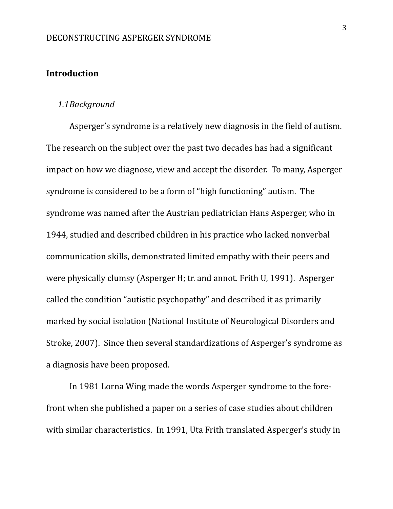### **Introduction**

### *1.1Background*

Asperger's syndrome is a relatively new diagnosis in the field of autism. The research on the subject over the past two decades has had a significant impact on how we diagnose, view and accept the disorder. To many, Asperger syndrome is considered to be a form of "high functioning" autism. The syndrome was named after the Austrian pediatrician Hans Asperger, who in 1944, studied and described children in his practice who lacked nonverbal communication skills, demonstrated limited empathy with their peers and were physically clumsy (Asperger H; tr. and annot. Frith U, 1991). Asperger called the condition "autistic psychopathy" and described it as primarily marked by social isolation (National Institute of Neurological Disorders and Stroke, 2007). Since then several standardizations of Asperger's syndrome as a diagnosis have been proposed.

In 1981 Lorna Wing made the words Asperger syndrome to the forefront when she published a paper on a series of case studies about children with similar characteristics. In 1991, Uta Frith translated Asperger's study in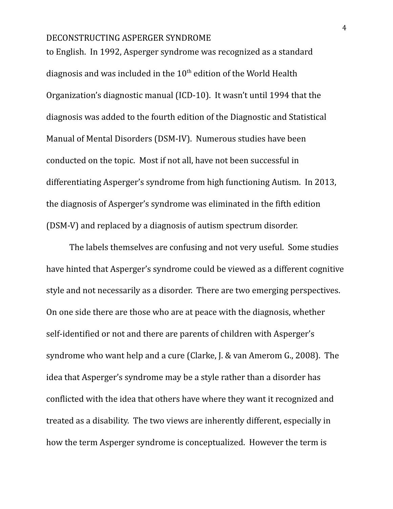to English. In 1992, Asperger syndrome was recognized as a standard diagnosis and was included in the  $10^{th}$  edition of the World Health Organization's diagnostic manual (ICD-10). It wasn't until 1994 that the diagnosis was added to the fourth edition of the Diagnostic and Statistical Manual of Mental Disorders (DSM-IV). Numerous studies have been conducted on the topic. Most if not all, have not been successful in differentiating Asperger's syndrome from high functioning Autism. In 2013, the diagnosis of Asperger's syndrome was eliminated in the fifth edition (DSM-V) and replaced by a diagnosis of autism spectrum disorder.

The labels themselves are confusing and not very useful. Some studies have hinted that Asperger's syndrome could be viewed as a different cognitive style and not necessarily as a disorder. There are two emerging perspectives. On one side there are those who are at peace with the diagnosis, whether self-identified or not and there are parents of children with Asperger's syndrome who want help and a cure (Clarke, J. & van Amerom G., 2008). The idea that Asperger's syndrome may be a style rather than a disorder has conflicted with the idea that others have where they want it recognized and treated as a disability. The two views are inherently different, especially in how the term Asperger syndrome is conceptualized. However the term is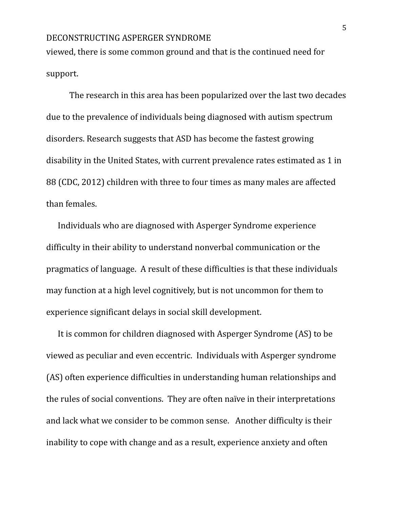viewed, there is some common ground and that is the continued need for support.

The research in this area has been popularized over the last two decades due to the prevalence of individuals being diagnosed with autism spectrum disorders. Research suggests that ASD has become the fastest growing disability in the United States, with current prevalence rates estimated as 1 in 88 (CDC, 2012) children with three to four times as many males are affected than females.

Individuals who are diagnosed with Asperger Syndrome experience difficulty in their ability to understand nonverbal communication or the pragmatics of language. A result of these difficulties is that these individuals may function at a high level cognitively, but is not uncommon for them to experience significant delays in social skill development.

It is common for children diagnosed with Asperger Syndrome (AS) to be viewed as peculiar and even eccentric. Individuals with Asperger syndrome (AS) often experience difficulties in understanding human relationships and the rules of social conventions. They are often naïve in their interpretations and lack what we consider to be common sense. Another difficulty is their inability to cope with change and as a result, experience anxiety and often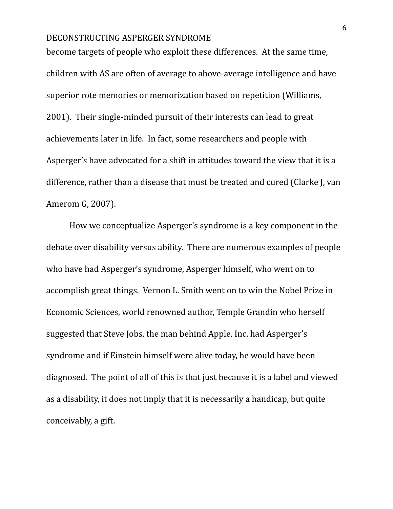become targets of people who exploit these differences. At the same time, children with AS are often of average to above-average intelligence and have superior rote memories or memorization based on repetition (Williams, 2001). Their single-minded pursuit of their interests can lead to great achievements later in life. In fact, some researchers and people with Asperger's have advocated for a shift in attitudes toward the view that it is a difference, rather than a disease that must be treated and cured (Clarke J, van Amerom G, 2007).

How we conceptualize Asperger's syndrome is a key component in the debate over disability versus ability. There are numerous examples of people who have had Asperger's syndrome, Asperger himself, who went on to accomplish great things. Vernon L. Smith went on to win the Nobel Prize in Economic Sciences, world renowned author, Temple Grandin who herself suggested that Steve Jobs, the man behind Apple, Inc. had Asperger's syndrome and if Einstein himself were alive today, he would have been diagnosed. The point of all of this is that just because it is a label and viewed as a disability, it does not imply that it is necessarily a handicap, but quite conceivably, a gift.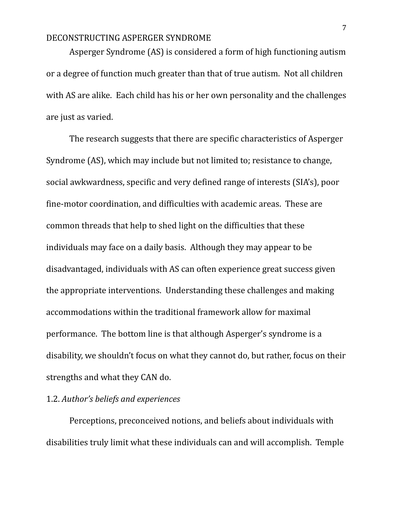Asperger Syndrome (AS) is considered a form of high functioning autism or a degree of function much greater than that of true autism. Not all children with AS are alike. Each child has his or her own personality and the challenges are just as varied.

The research suggests that there are specific characteristics of Asperger Syndrome (AS), which may include but not limited to; resistance to change, social awkwardness, specific and very defined range of interests (SIA's), poor fine-motor coordination, and difficulties with academic areas. These are common threads that help to shed light on the difficulties that these individuals may face on a daily basis. Although they may appear to be disadvantaged, individuals with AS can often experience great success given the appropriate interventions. Understanding these challenges and making accommodations within the traditional framework allow for maximal performance. The bottom line is that although Asperger's syndrome is a disability, we shouldn't focus on what they cannot do, but rather, focus on their strengths and what they CAN do.

### 1.2. *Author's beliefs and experiences*

Perceptions, preconceived notions, and beliefs about individuals with disabilities truly limit what these individuals can and will accomplish. Temple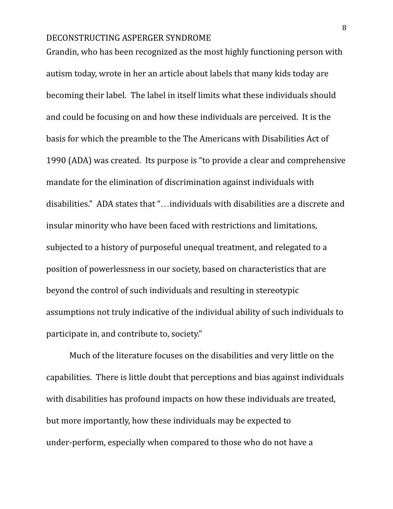Grandin, who has been recognized as the most highly functioning person with autism today, wrote in her an article about labels that many kids today are becoming their label. The label in itself limits what these individuals should and could be focusing on and how these individuals are perceived. It is the basis for which the preamble to the The Americans with Disabilities Act of 1990 (ADA) was created. Its purpose is "to provide a clear and comprehensive mandate for the elimination of discrimination against individuals with disabilities." ADA states that "…individuals with disabilities are a discrete and insular minority who have been faced with restrictions and limitations, subjected to a history of purposeful unequal treatment, and relegated to a position of powerlessness in our society, based on characteristics that are beyond the control of such individuals and resulting in stereotypic assumptions not truly indicative of the individual ability of such individuals to participate in, and contribute to, society."

Much of the literature focuses on the disabilities and very little on the capabilities. There is little doubt that perceptions and bias against individuals with disabilities has profound impacts on how these individuals are treated, but more importantly, how these individuals may be expected to under-perform, especially when compared to those who do not have a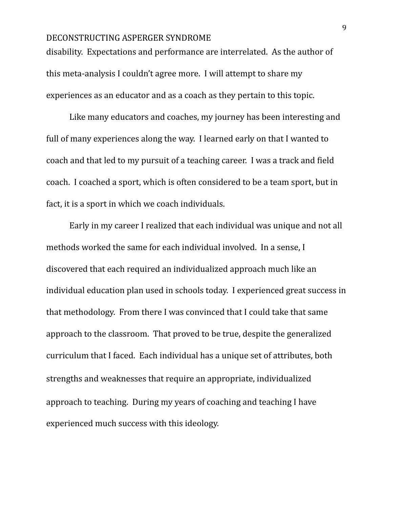disability. Expectations and performance are interrelated. As the author of this meta-analysis I couldn't agree more. I will attempt to share my experiences as an educator and as a coach as they pertain to this topic.

Like many educators and coaches, my journey has been interesting and full of many experiences along the way. I learned early on that I wanted to coach and that led to my pursuit of a teaching career. I was a track and field coach. I coached a sport, which is often considered to be a team sport, but in fact, it is a sport in which we coach individuals.

Early in my career I realized that each individual was unique and not all methods worked the same for each individual involved. In a sense, I discovered that each required an individualized approach much like an individual education plan used in schools today. I experienced great success in that methodology. From there I was convinced that I could take that same approach to the classroom. That proved to be true, despite the generalized curriculum that I faced. Each individual has a unique set of attributes, both strengths and weaknesses that require an appropriate, individualized approach to teaching. During my years of coaching and teaching I have experienced much success with this ideology.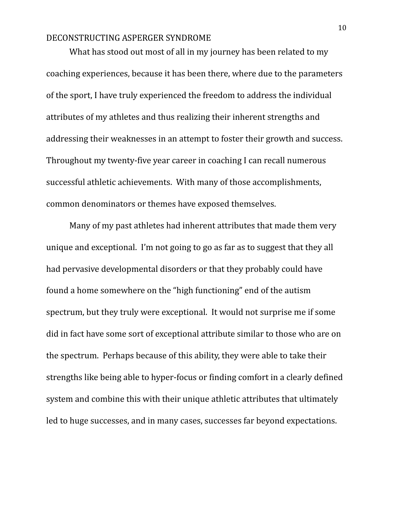What has stood out most of all in my journey has been related to my coaching experiences, because it has been there, where due to the parameters of the sport, I have truly experienced the freedom to address the individual attributes of my athletes and thus realizing their inherent strengths and addressing their weaknesses in an attempt to foster their growth and success. Throughout my twenty-five year career in coaching I can recall numerous successful athletic achievements. With many of those accomplishments, common denominators or themes have exposed themselves.

Many of my past athletes had inherent attributes that made them very unique and exceptional. I'm not going to go as far as to suggest that they all had pervasive developmental disorders or that they probably could have found a home somewhere on the "high functioning" end of the autism spectrum, but they truly were exceptional. It would not surprise me if some did in fact have some sort of exceptional attribute similar to those who are on the spectrum. Perhaps because of this ability, they were able to take their strengths like being able to hyper-focus or finding comfort in a clearly defined system and combine this with their unique athletic attributes that ultimately led to huge successes, and in many cases, successes far beyond expectations.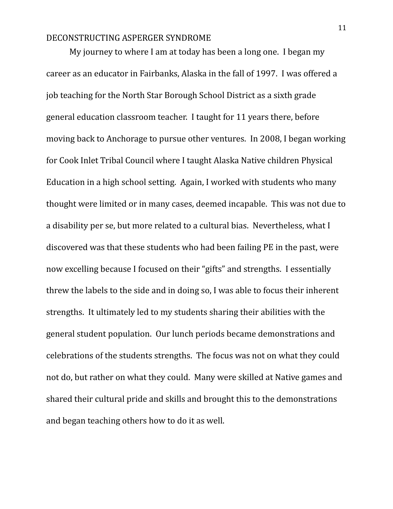My journey to where I am at today has been a long one. I began my career as an educator in Fairbanks, Alaska in the fall of 1997. I was offered a job teaching for the North Star Borough School District as a sixth grade general education classroom teacher. I taught for 11 years there, before moving back to Anchorage to pursue other ventures. In 2008, I began working for Cook Inlet Tribal Council where I taught Alaska Native children Physical Education in a high school setting. Again, I worked with students who many thought were limited or in many cases, deemed incapable. This was not due to a disability per se, but more related to a cultural bias. Nevertheless, what I discovered was that these students who had been failing PE in the past, were now excelling because I focused on their "gifts" and strengths. I essentially threw the labels to the side and in doing so, I was able to focus their inherent strengths. It ultimately led to my students sharing their abilities with the general student population. Our lunch periods became demonstrations and celebrations of the students strengths. The focus was not on what they could not do, but rather on what they could. Many were skilled at Native games and shared their cultural pride and skills and brought this to the demonstrations and began teaching others how to do it as well.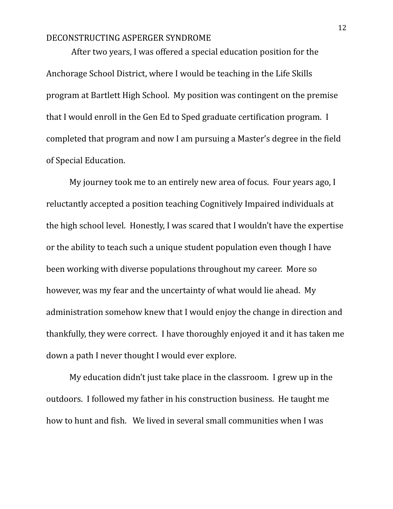After two years, I was offered a special education position for the Anchorage School District, where I would be teaching in the Life Skills program at Bartlett High School. My position was contingent on the premise that I would enroll in the Gen Ed to Sped graduate certification program. I completed that program and now I am pursuing a Master's degree in the field of Special Education.

My journey took me to an entirely new area of focus. Four years ago, I reluctantly accepted a position teaching Cognitively Impaired individuals at the high school level. Honestly, I was scared that I wouldn't have the expertise or the ability to teach such a unique student population even though I have been working with diverse populations throughout my career. More so however, was my fear and the uncertainty of what would lie ahead. My administration somehow knew that I would enjoy the change in direction and thankfully, they were correct. I have thoroughly enjoyed it and it has taken me down a path I never thought I would ever explore.

My education didn't just take place in the classroom. I grew up in the outdoors. I followed my father in his construction business. He taught me how to hunt and fish. We lived in several small communities when I was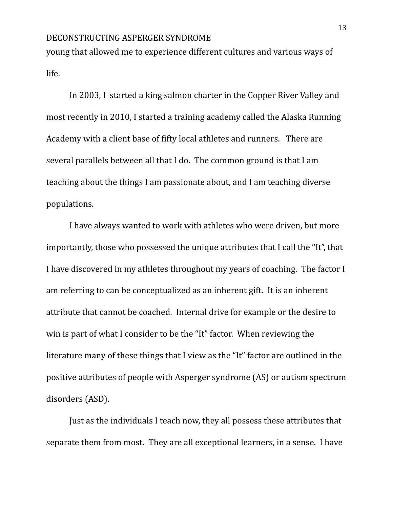young that allowed me to experience different cultures and various ways of life.

In 2003, I started a king salmon charter in the Copper River Valley and most recently in 2010, I started a training academy called the Alaska Running Academy with a client base of fifty local athletes and runners. There are several parallels between all that I do. The common ground is that I am teaching about the things I am passionate about, and I am teaching diverse populations.

I have always wanted to work with athletes who were driven, but more importantly, those who possessed the unique attributes that I call the "It", that I have discovered in my athletes throughout my years of coaching. The factor I am referring to can be conceptualized as an inherent gift. It is an inherent attribute that cannot be coached. Internal drive for example or the desire to win is part of what I consider to be the "It" factor. When reviewing the literature many of these things that I view as the "It" factor are outlined in the positive attributes of people with Asperger syndrome (AS) or autism spectrum disorders (ASD).

Just as the individuals I teach now, they all possess these attributes that separate them from most. They are all exceptional learners, in a sense. I have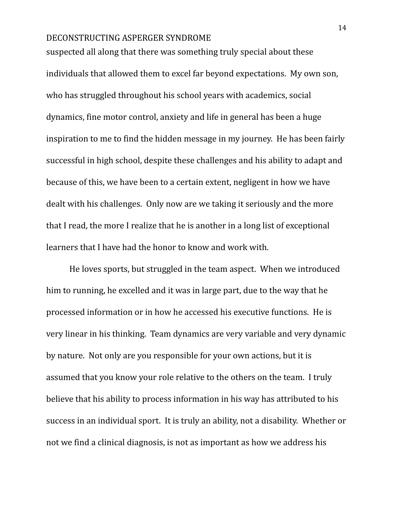suspected all along that there was something truly special about these individuals that allowed them to excel far beyond expectations. My own son, who has struggled throughout his school years with academics, social dynamics, fine motor control, anxiety and life in general has been a huge inspiration to me to find the hidden message in my journey. He has been fairly successful in high school, despite these challenges and his ability to adapt and because of this, we have been to a certain extent, negligent in how we have dealt with his challenges. Only now are we taking it seriously and the more that I read, the more I realize that he is another in a long list of exceptional learners that I have had the honor to know and work with.

He loves sports, but struggled in the team aspect. When we introduced him to running, he excelled and it was in large part, due to the way that he processed information or in how he accessed his executive functions. He is very linear in his thinking. Team dynamics are very variable and very dynamic by nature. Not only are you responsible for your own actions, but it is assumed that you know your role relative to the others on the team. I truly believe that his ability to process information in his way has attributed to his success in an individual sport. It is truly an ability, not a disability. Whether or not we find a clinical diagnosis, is not as important as how we address his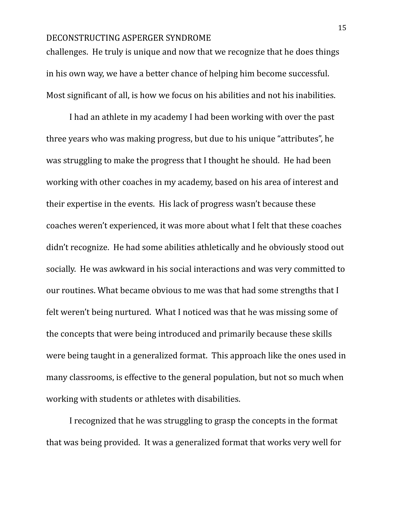challenges. He truly is unique and now that we recognize that he does things in his own way, we have a better chance of helping him become successful. Most significant of all, is how we focus on his abilities and not his inabilities.

I had an athlete in my academy I had been working with over the past three years who was making progress, but due to his unique "attributes", he was struggling to make the progress that I thought he should. He had been working with other coaches in my academy, based on his area of interest and their expertise in the events. His lack of progress wasn't because these coaches weren't experienced, it was more about what I felt that these coaches didn't recognize. He had some abilities athletically and he obviously stood out socially. He was awkward in his social interactions and was very committed to our routines. What became obvious to me was that had some strengths that I felt weren't being nurtured. What I noticed was that he was missing some of the concepts that were being introduced and primarily because these skills were being taught in a generalized format. This approach like the ones used in many classrooms, is effective to the general population, but not so much when working with students or athletes with disabilities.

I recognized that he was struggling to grasp the concepts in the format that was being provided. It was a generalized format that works very well for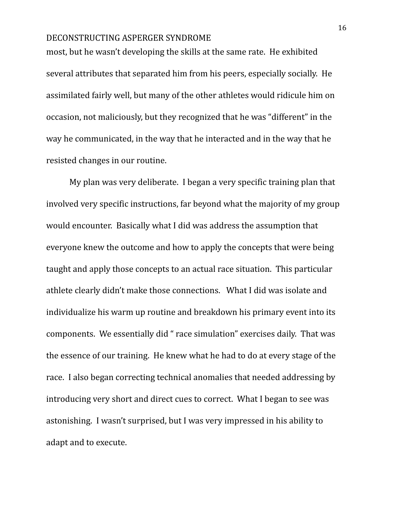most, but he wasn't developing the skills at the same rate. He exhibited several attributes that separated him from his peers, especially socially. He assimilated fairly well, but many of the other athletes would ridicule him on occasion, not maliciously, but they recognized that he was "different" in the way he communicated, in the way that he interacted and in the way that he resisted changes in our routine.

My plan was very deliberate. I began a very specific training plan that involved very specific instructions, far beyond what the majority of my group would encounter. Basically what I did was address the assumption that everyone knew the outcome and how to apply the concepts that were being taught and apply those concepts to an actual race situation. This particular athlete clearly didn't make those connections. What I did was isolate and individualize his warm up routine and breakdown his primary event into its components. We essentially did " race simulation" exercises daily. That was the essence of our training. He knew what he had to do at every stage of the race. I also began correcting technical anomalies that needed addressing by introducing very short and direct cues to correct. What I began to see was astonishing. I wasn't surprised, but I was very impressed in his ability to adapt and to execute.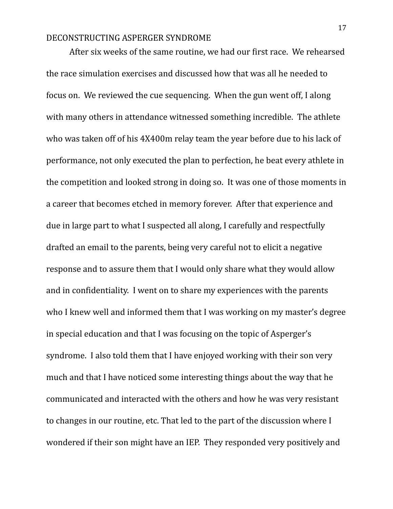After six weeks of the same routine, we had our first race. We rehearsed the race simulation exercises and discussed how that was all he needed to focus on. We reviewed the cue sequencing. When the gun went off, I along with many others in attendance witnessed something incredible. The athlete who was taken off of his 4X400m relay team the year before due to his lack of performance, not only executed the plan to perfection, he beat every athlete in the competition and looked strong in doing so. It was one of those moments in a career that becomes etched in memory forever. After that experience and due in large part to what I suspected all along, I carefully and respectfully drafted an email to the parents, being very careful not to elicit a negative response and to assure them that I would only share what they would allow and in confidentiality. I went on to share my experiences with the parents who I knew well and informed them that I was working on my master's degree in special education and that I was focusing on the topic of Asperger's syndrome. I also told them that I have enjoyed working with their son very much and that I have noticed some interesting things about the way that he communicated and interacted with the others and how he was very resistant to changes in our routine, etc. That led to the part of the discussion where I wondered if their son might have an IEP. They responded very positively and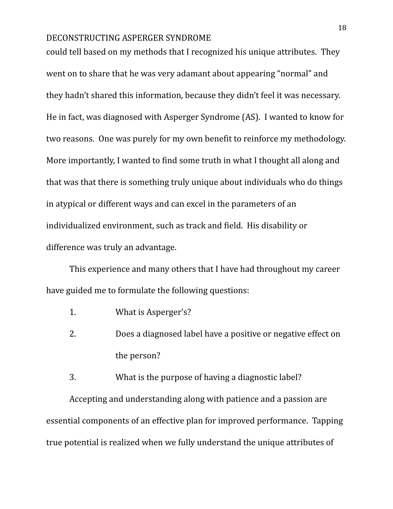could tell based on my methods that I recognized his unique attributes. They went on to share that he was very adamant about appearing "normal" and they hadn't shared this information, because they didn't feel it was necessary. He in fact, was diagnosed with Asperger Syndrome (AS). I wanted to know for two reasons. One was purely for my own benefit to reinforce my methodology. More importantly, I wanted to find some truth in what I thought all along and that was that there is something truly unique about individuals who do things in atypical or different ways and can excel in the parameters of an individualized environment, such as track and field. His disability or difference was truly an advantage.

This experience and many others that I have had throughout my career have guided me to formulate the following questions:

- 1. What is Asperger's?
- 2. Does a diagnosed label have a positive or negative effect on the person?
- 3. What is the purpose of having a diagnostic label?

Accepting and understanding along with patience and a passion are essential components of an effective plan for improved performance. Tapping true potential is realized when we fully understand the unique attributes of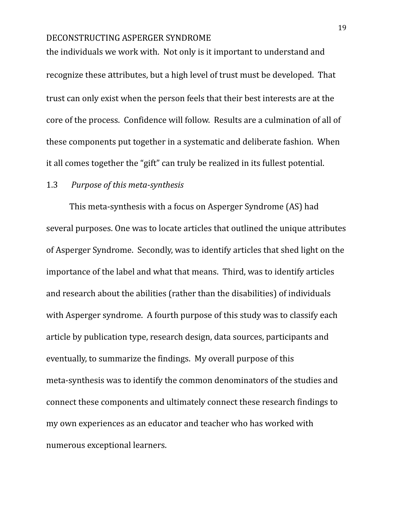the individuals we work with. Not only is it important to understand and recognize these attributes, but a high level of trust must be developed. That trust can only exist when the person feels that their best interests are at the core of the process. Confidence will follow. Results are a culmination of all of these components put together in a systematic and deliberate fashion. When it all comes together the "gift" can truly be realized in its fullest potential.

### 1.3 *Purpose of this meta-synthesis*

This meta-synthesis with a focus on Asperger Syndrome (AS) had several purposes. One was to locate articles that outlined the unique attributes of Asperger Syndrome. Secondly, was to identify articles that shed light on the importance of the label and what that means. Third, was to identify articles and research about the abilities (rather than the disabilities) of individuals with Asperger syndrome. A fourth purpose of this study was to classify each article by publication type, research design, data sources, participants and eventually, to summarize the findings. My overall purpose of this meta-synthesis was to identify the common denominators of the studies and connect these components and ultimately connect these research findings to my own experiences as an educator and teacher who has worked with numerous exceptional learners.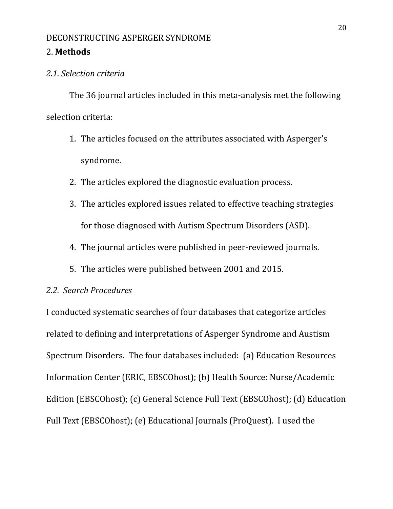### 2. **Methods**

### *2.1. Selection criteria*

The 36 journal articles included in this meta-analysis met the following selection criteria:

- 1. The articles focused on the attributes associated with Asperger's syndrome.
- 2. The articles explored the diagnostic evaluation process.
- 3. The articles explored issues related to effective teaching strategies for those diagnosed with Autism Spectrum Disorders (ASD).
- 4. The journal articles were published in peer-reviewed journals.
- 5. The articles were published between 2001 and 2015.

### *2.2. Search Procedures*

I conducted systematic searches of four databases that categorize articles related to defining and interpretations of Asperger Syndrome and Austism Spectrum Disorders. The four databases included: (a) Education Resources Information Center (ERIC, EBSCOhost); (b) Health Source: Nurse/Academic Edition (EBSCOhost); (c) General Science Full Text (EBSCOhost); (d) Education Full Text (EBSCOhost); (e) Educational Journals (ProQuest). I used the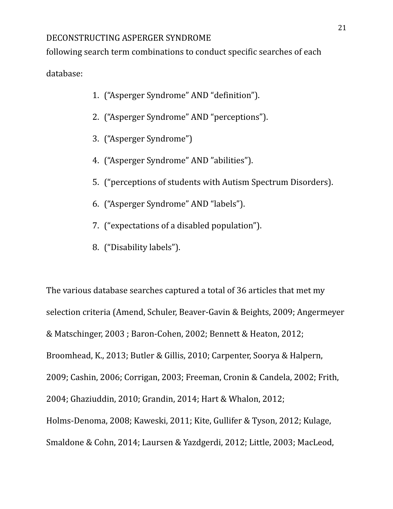following search term combinations to conduct specific searches of each

database:

- 1. ("Asperger Syndrome" AND "definition").
- 2. ("Asperger Syndrome" AND "perceptions").
- 3. ("Asperger Syndrome")
- 4. ("Asperger Syndrome" AND "abilities").
- 5. ("perceptions of students with Autism Spectrum Disorders).
- 6. ("Asperger Syndrome" AND "labels").
- 7. ("expectations of a disabled population").
- 8. ("Disability labels").

The various database searches captured a total of 36 articles that met my selection criteria (Amend, Schuler, Beaver-Gavin & Beights, 2009; Angermeyer & Matschinger, 2003 ; Baron-Cohen, 2002; Bennett & Heaton, 2012; Broomhead, K., 2013; Butler & Gillis, 2010; Carpenter, Soorya & Halpern, 2009; Cashin, 2006; Corrigan, 2003; Freeman, Cronin & Candela, 2002; Frith, 2004; Ghaziuddin, 2010; Grandin, 2014; Hart & Whalon, 2012; Holms-Denoma, 2008; Kaweski, 2011; Kite, Gullifer & Tyson, 2012; Kulage, Smaldone & Cohn, 2014; Laursen & Yazdgerdi, 2012; Little, 2003; MacLeod,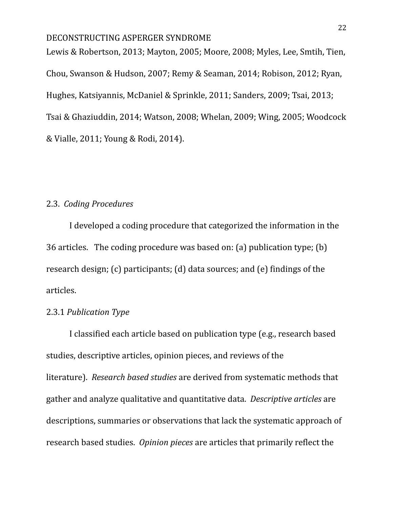Lewis & Robertson, 2013; Mayton, 2005; Moore, 2008; Myles, Lee, Smtih, Tien, Chou, Swanson & Hudson, 2007; Remy & Seaman, 2014; Robison, 2012; Ryan, Hughes, Katsiyannis, McDaniel & Sprinkle, 2011; Sanders, 2009; Tsai, 2013; Tsai & Ghaziuddin, 2014; Watson, 2008; Whelan, 2009; Wing, 2005; Woodcock & Vialle, 2011; Young & Rodi, 2014).

### 2.3. *Coding Procedures*

I developed a coding procedure that categorized the information in the 36 articles. The coding procedure was based on: (a) publication type; (b) research design; (c) participants; (d) data sources; and (e) findings of the articles.

### 2.3.1 *Publication Type*

I classified each article based on publication type (e.g., research based studies, descriptive articles, opinion pieces, and reviews of the literature). *Research based studies* are derived from systematic methods that gather and analyze qualitative and quantitative data. *Descriptive articles* are descriptions, summaries or observations that lack the systematic approach of research based studies. *Opinion pieces* are articles that primarily reflect the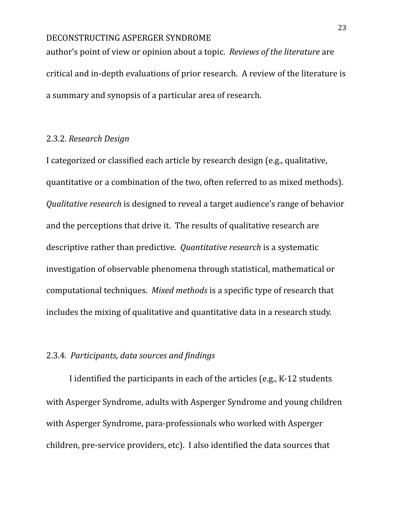author's point of view or opinion about a topic. *Reviews of the literature* are critical and in-depth evaluations of prior research. A review of the literature is a summary and synopsis of a particular area of research.

### 2.3.2. *Research Design*

I categorized or classified each article by research design (e.g., qualitative, quantitative or a combination of the two, often referred to as mixed methods). *Qualitative research* is designed to reveal a target audience's range of behavior and the perceptions that drive it. The results of qualitative research are descriptive rather than predictive. *Quantitative research* is a systematic investigation of observable phenomena through statistical, mathematical or computational techniques. *Mixed methods* is a specific type of research that includes the mixing of qualitative and quantitative data in a research study.

### 2.3.4*. Participants, data sources and findings*

I identified the participants in each of the articles (e.g., K-12 students with Asperger Syndrome, adults with Asperger Syndrome and young children with Asperger Syndrome, para-professionals who worked with Asperger children, pre-service providers, etc). I also identified the data sources that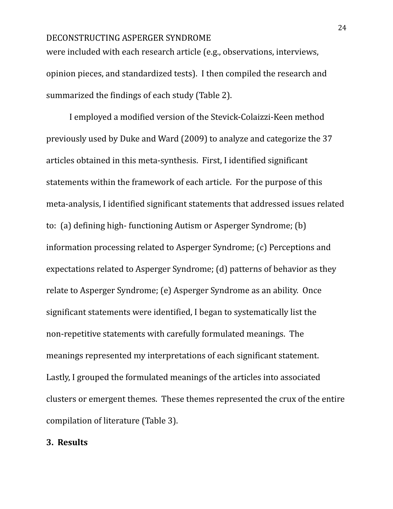were included with each research article (e.g., observations, interviews, opinion pieces, and standardized tests). I then compiled the research and summarized the findings of each study (Table 2).

I employed a modified version of the Stevick-Colaizzi-Keen method previously used by Duke and Ward (2009) to analyze and categorize the 37 articles obtained in this meta-synthesis. First, I identified significant statements within the framework of each article. For the purpose of this meta-analysis, I identified significant statements that addressed issues related to: (a) defining high- functioning Autism or Asperger Syndrome; (b) information processing related to Asperger Syndrome; (c) Perceptions and expectations related to Asperger Syndrome; (d) patterns of behavior as they relate to Asperger Syndrome; (e) Asperger Syndrome as an ability. Once significant statements were identified, I began to systematically list the non-repetitive statements with carefully formulated meanings. The meanings represented my interpretations of each significant statement. Lastly, I grouped the formulated meanings of the articles into associated clusters or emergent themes. These themes represented the crux of the entire compilation of literature (Table 3).

### **3. Results**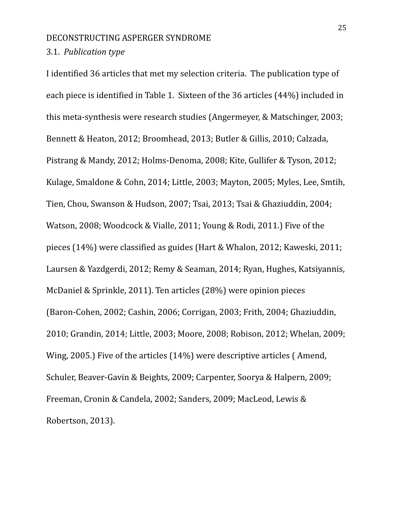### 3.1. *Publication type*

I identified 36 articles that met my selection criteria. The publication type of each piece is identified in Table 1. Sixteen of the 36 articles (44%) included in this meta-synthesis were research studies (Angermeyer, & Matschinger, 2003; Bennett & Heaton, 2012; Broomhead, 2013; Butler & Gillis, 2010; Calzada, Pistrang & Mandy, 2012; Holms-Denoma, 2008; Kite, Gullifer & Tyson, 2012; Kulage, Smaldone & Cohn, 2014; Little, 2003; Mayton, 2005; Myles, Lee, Smtih, Tien, Chou, Swanson & Hudson, 2007; Tsai, 2013; Tsai & Ghaziuddin, 2004; Watson, 2008; Woodcock & Vialle, 2011; Young & Rodi, 2011.) Five of the pieces (14%) were classified as guides (Hart & Whalon, 2012; Kaweski, 2011; Laursen & Yazdgerdi, 2012; Remy & Seaman, 2014; Ryan, Hughes, Katsiyannis, McDaniel & Sprinkle, 2011). Ten articles (28%) were opinion pieces (Baron-Cohen, 2002; Cashin, 2006; Corrigan, 2003; Frith, 2004; Ghaziuddin, 2010; Grandin, 2014; Little, 2003; Moore, 2008; Robison, 2012; Whelan, 2009; Wing, 2005.) Five of the articles (14%) were descriptive articles ( Amend, Schuler, Beaver-Gavin & Beights, 2009; Carpenter, Soorya & Halpern, 2009; Freeman, Cronin & Candela, 2002; Sanders, 2009; MacLeod, Lewis & Robertson, 2013).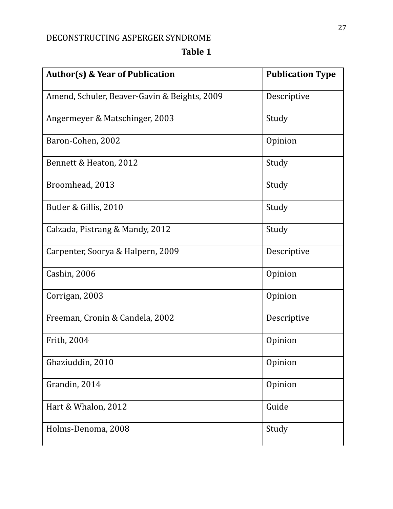# **Table 1**

| <b>Author(s) &amp; Year of Publication</b>   | <b>Publication Type</b> |
|----------------------------------------------|-------------------------|
| Amend, Schuler, Beaver-Gavin & Beights, 2009 | Descriptive             |
| Angermeyer & Matschinger, 2003               | Study                   |
| Baron-Cohen, 2002                            | Opinion                 |
| Bennett & Heaton, 2012                       | Study                   |
| Broomhead, 2013                              | Study                   |
| Butler & Gillis, 2010                        | Study                   |
| Calzada, Pistrang & Mandy, 2012              | Study                   |
| Carpenter, Soorya & Halpern, 2009            | Descriptive             |
| Cashin, 2006                                 | Opinion                 |
| Corrigan, 2003                               | Opinion                 |
| Freeman, Cronin & Candela, 2002              | Descriptive             |
| Frith, 2004                                  | Opinion                 |
| Ghaziuddin, 2010                             | Opinion                 |
| Grandin, 2014                                | Opinion                 |
| Hart & Whalon, 2012                          | Guide                   |
| Holms-Denoma, 2008                           | Study                   |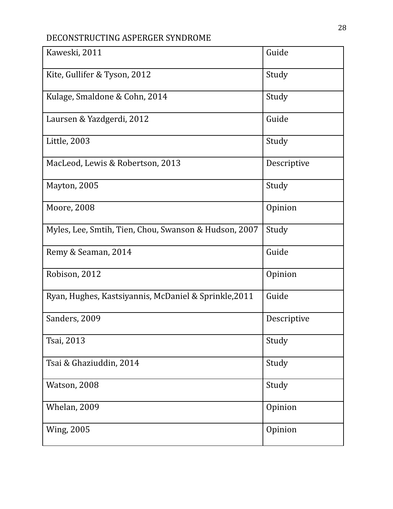| Kaweski, 2011                                         | Guide       |
|-------------------------------------------------------|-------------|
| Kite, Gullifer & Tyson, 2012                          | Study       |
| Kulage, Smaldone & Cohn, 2014                         | Study       |
| Laursen & Yazdgerdi, 2012                             | Guide       |
| Little, 2003                                          | Study       |
| MacLeod, Lewis & Robertson, 2013                      | Descriptive |
| Mayton, 2005                                          | Study       |
| Moore, 2008                                           | Opinion     |
| Myles, Lee, Smtih, Tien, Chou, Swanson & Hudson, 2007 | Study       |
| Remy & Seaman, 2014                                   | Guide       |
| Robison, 2012                                         | Opinion     |
| Ryan, Hughes, Kastsiyannis, McDaniel & Sprinkle, 2011 | Guide       |
| Sanders, 2009                                         | Descriptive |
| Tsai, 2013                                            | Study       |
| Tsai & Ghaziuddin, 2014                               | Study       |
| Watson, 2008                                          | Study       |
| Whelan, 2009                                          | Opinion     |
| <b>Wing, 2005</b>                                     | Opinion     |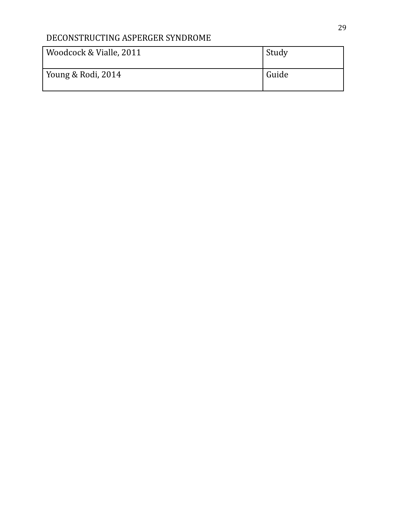| Woodcock & Vialle, 2011 | Study |
|-------------------------|-------|
| Young & Rodi, 2014      | Guide |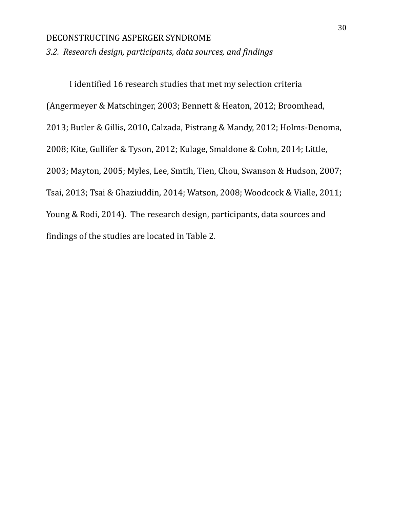*3.2. Research design, participants, data sources, and findings*

I identified 16 research studies that met my selection criteria (Angermeyer & Matschinger, 2003; Bennett & Heaton, 2012; Broomhead, 2013; Butler & Gillis, 2010, Calzada, Pistrang & Mandy, 2012; Holms-Denoma, 2008; Kite, Gullifer & Tyson, 2012; Kulage, Smaldone & Cohn, 2014; Little, 2003; Mayton, 2005; Myles, Lee, Smtih, Tien, Chou, Swanson & Hudson, 2007; Tsai, 2013; Tsai & Ghaziuddin, 2014; Watson, 2008; Woodcock & Vialle, 2011; Young & Rodi, 2014). The research design, participants, data sources and findings of the studies are located in Table 2.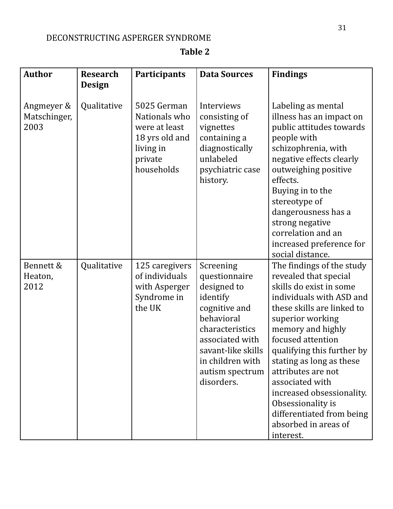# **Table 2**

| <b>Author</b>                      | <b>Research</b><br><b>Design</b> | Participants                                                                                          | <b>Data Sources</b>                                                                                                                                                                                   | <b>Findings</b>                                                                                                                                                                                                                                                                                                                                                                                                              |
|------------------------------------|----------------------------------|-------------------------------------------------------------------------------------------------------|-------------------------------------------------------------------------------------------------------------------------------------------------------------------------------------------------------|------------------------------------------------------------------------------------------------------------------------------------------------------------------------------------------------------------------------------------------------------------------------------------------------------------------------------------------------------------------------------------------------------------------------------|
| Angmeyer &<br>Matschinger,<br>2003 | Qualitative                      | 5025 German<br>Nationals who<br>were at least<br>18 yrs old and<br>living in<br>private<br>households | Interviews<br>consisting of<br>vignettes<br>containing a<br>diagnostically<br>unlabeled<br>psychiatric case<br>history.                                                                               | Labeling as mental<br>illness has an impact on<br>public attitudes towards<br>people with<br>schizophrenia, with<br>negative effects clearly<br>outweighing positive<br>effects.<br>Buying in to the<br>stereotype of<br>dangerousness has a<br>strong negative<br>correlation and an<br>increased preference for<br>social distance.                                                                                        |
| Bennett &<br>Heaton,<br>2012       | Qualitative                      | 125 caregivers<br>of individuals<br>with Asperger<br>Syndrome in<br>the UK                            | Screening<br>questionnaire<br>designed to<br>identify<br>cognitive and<br>behavioral<br>characteristics<br>associated with<br>savant-like skills<br>in children with<br>autism spectrum<br>disorders. | The findings of the study<br>revealed that special<br>skills do exist in some<br>individuals with ASD and<br>these skills are linked to<br>superior working<br>memory and highly<br>focused attention<br>qualifying this further by<br>stating as long as these<br>attributes are not<br>associated with<br>increased obsessionality.<br>Obsessionality is<br>differentiated from being<br>absorbed in areas of<br>interest. |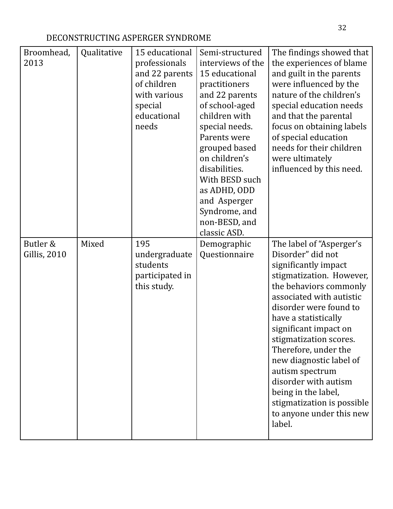| Broomhead,<br>2013              | Qualitative | 15 educational<br>professionals<br>and 22 parents<br>of children<br>with various<br>special<br>educational<br>needs | Semi-structured<br>interviews of the<br>15 educational<br>practitioners<br>and 22 parents<br>of school-aged<br>children with<br>special needs.<br>Parents were<br>grouped based<br>on children's<br>disabilities.<br>With BESD such<br>as ADHD, ODD<br>and Asperger<br>Syndrome, and | The findings showed that<br>the experiences of blame<br>and guilt in the parents<br>were influenced by the<br>nature of the children's<br>special education needs<br>and that the parental<br>focus on obtaining labels<br>of special education<br>needs for their children<br>were ultimately<br>influenced by this need.                                                                                                                            |
|---------------------------------|-------------|---------------------------------------------------------------------------------------------------------------------|--------------------------------------------------------------------------------------------------------------------------------------------------------------------------------------------------------------------------------------------------------------------------------------|-------------------------------------------------------------------------------------------------------------------------------------------------------------------------------------------------------------------------------------------------------------------------------------------------------------------------------------------------------------------------------------------------------------------------------------------------------|
|                                 |             |                                                                                                                     | non-BESD, and<br>classic ASD.                                                                                                                                                                                                                                                        |                                                                                                                                                                                                                                                                                                                                                                                                                                                       |
| Butler &<br><b>Gillis, 2010</b> | Mixed       | 195<br>undergraduate<br>students<br>participated in<br>this study.                                                  | Demographic<br>Questionnaire                                                                                                                                                                                                                                                         | The label of "Asperger's<br>Disorder" did not<br>significantly impact<br>stigmatization. However,<br>the behaviors commonly<br>associated with autistic<br>disorder were found to<br>have a statistically<br>significant impact on<br>stigmatization scores.<br>Therefore, under the<br>new diagnostic label of<br>autism spectrum<br>disorder with autism<br>being in the label,<br>stigmatization is possible<br>to anyone under this new<br>label. |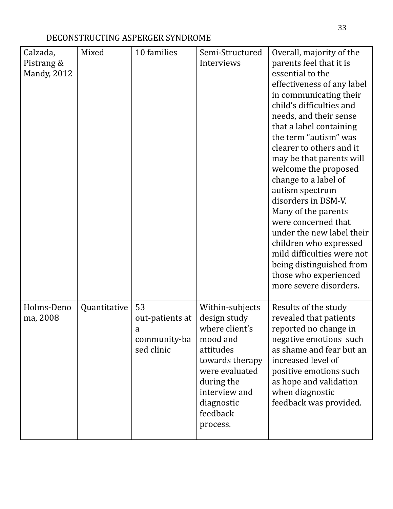| Calzada,<br>Pistrang &<br><b>Mandy, 2012</b> | Mixed        | 10 families                                              | Semi-Structured<br>Interviews                                                                                                                                                        | Overall, majority of the<br>parents feel that it is<br>essential to the<br>effectiveness of any label<br>in communicating their<br>child's difficulties and<br>needs, and their sense<br>that a label containing<br>the term "autism" was<br>clearer to others and it<br>may be that parents will<br>welcome the proposed<br>change to a label of<br>autism spectrum<br>disorders in DSM-V.<br>Many of the parents<br>were concerned that<br>under the new label their<br>children who expressed<br>mild difficulties were not<br>being distinguished from<br>those who experienced<br>more severe disorders. |
|----------------------------------------------|--------------|----------------------------------------------------------|--------------------------------------------------------------------------------------------------------------------------------------------------------------------------------------|---------------------------------------------------------------------------------------------------------------------------------------------------------------------------------------------------------------------------------------------------------------------------------------------------------------------------------------------------------------------------------------------------------------------------------------------------------------------------------------------------------------------------------------------------------------------------------------------------------------|
| Holms-Deno<br>ma, 2008                       | Quantitative | 53<br>out-patients at<br>a<br>community-ba<br>sed clinic | Within-subjects<br>design study<br>where client's<br>mood and<br>attitudes<br>towards therapy<br>were evaluated<br>during the<br>interview and<br>diagnostic<br>feedback<br>process. | Results of the study<br>revealed that patients<br>reported no change in<br>negative emotions such<br>as shame and fear but an<br>increased level of<br>positive emotions such<br>as hope and validation<br>when diagnostic<br>feedback was provided.                                                                                                                                                                                                                                                                                                                                                          |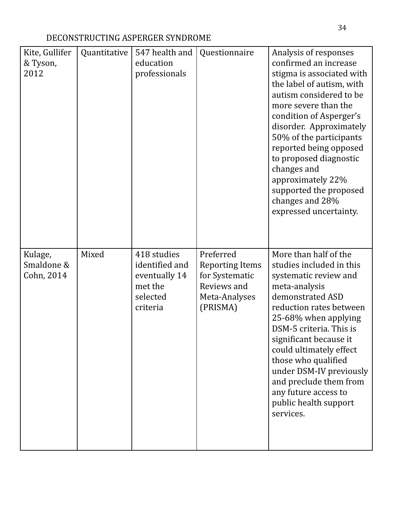| Kite, Gullifer<br>& Tyson,<br>2012  | Quantitative | 547 health and<br>education<br>professionals                                      | Questionnaire                                                                                     | Analysis of responses<br>confirmed an increase<br>stigma is associated with<br>the label of autism, with<br>autism considered to be<br>more severe than the<br>condition of Asperger's<br>disorder. Approximately<br>50% of the participants<br>reported being opposed<br>to proposed diagnostic<br>changes and<br>approximately 22%<br>supported the proposed<br>changes and 28%<br>expressed uncertainty. |
|-------------------------------------|--------------|-----------------------------------------------------------------------------------|---------------------------------------------------------------------------------------------------|-------------------------------------------------------------------------------------------------------------------------------------------------------------------------------------------------------------------------------------------------------------------------------------------------------------------------------------------------------------------------------------------------------------|
| Kulage,<br>Smaldone &<br>Cohn, 2014 | Mixed        | 418 studies<br>identified and<br>eventually 14<br>met the<br>selected<br>criteria | Preferred<br><b>Reporting Items</b><br>for Systematic<br>Reviews and<br>Meta-Analyses<br>(PRISMA) | More than half of the<br>studies included in this<br>systematic review and<br>meta-analysis<br>demonstrated ASD<br>reduction rates between<br>25-68% when applying<br>DSM-5 criteria. This is<br>significant because it<br>could ultimately effect<br>those who qualified<br>under DSM-IV previously<br>and preclude them from<br>any future access to<br>public health support<br>services.                |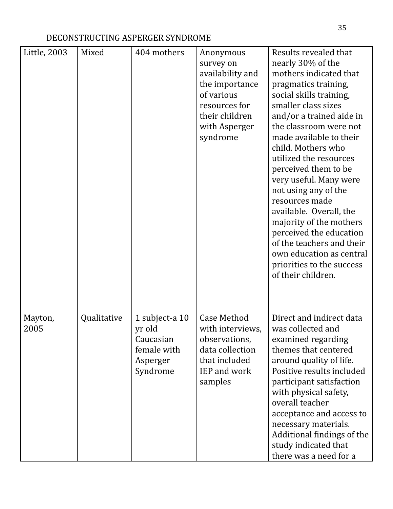| Little, 2003    | Mixed       | 404 mothers                                      | Anonymous<br>survey on<br>availability and<br>the importance<br>of various<br>resources for<br>their children<br>with Asperger<br>syndrome | Results revealed that<br>nearly 30% of the<br>mothers indicated that<br>pragmatics training,<br>social skills training,<br>smaller class sizes<br>and/or a trained aide in<br>the classroom were not<br>made available to their<br>child. Mothers who<br>utilized the resources<br>perceived them to be<br>very useful. Many were<br>not using any of the<br>resources made<br>available. Overall, the<br>majority of the mothers<br>perceived the education |
|-----------------|-------------|--------------------------------------------------|--------------------------------------------------------------------------------------------------------------------------------------------|--------------------------------------------------------------------------------------------------------------------------------------------------------------------------------------------------------------------------------------------------------------------------------------------------------------------------------------------------------------------------------------------------------------------------------------------------------------|
| Mayton,<br>2005 | Qualitative | 1 subject-a 10<br>yr old                         | <b>Case Method</b><br>with interviews,                                                                                                     | of the teachers and their<br>own education as central<br>priorities to the success<br>of their children.<br>Direct and indirect data<br>was collected and                                                                                                                                                                                                                                                                                                    |
|                 |             | Caucasian<br>female with<br>Asperger<br>Syndrome | observations,<br>data collection<br>that included<br><b>IEP</b> and work<br>samples                                                        | examined regarding<br>themes that centered<br>around quality of life.<br>Positive results included<br>participant satisfaction<br>with physical safety,<br>overall teacher<br>acceptance and access to<br>necessary materials.<br>Additional findings of the<br>study indicated that<br>there was a need for a                                                                                                                                               |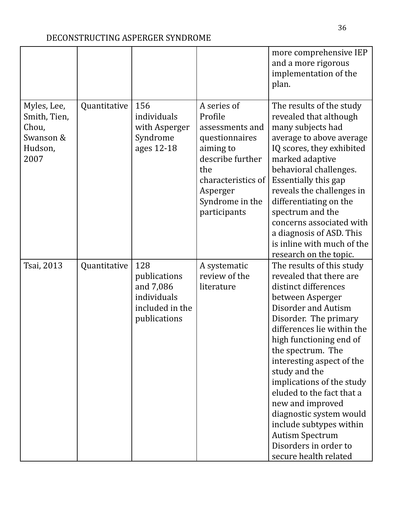|                                                                      |              |                                                                                    |                                                                                                                                                                          | more comprehensive IEP<br>and a more rigorous<br>implementation of the<br>plan.                                                                                                                                                                                                                                                                                                                                                                                                                     |
|----------------------------------------------------------------------|--------------|------------------------------------------------------------------------------------|--------------------------------------------------------------------------------------------------------------------------------------------------------------------------|-----------------------------------------------------------------------------------------------------------------------------------------------------------------------------------------------------------------------------------------------------------------------------------------------------------------------------------------------------------------------------------------------------------------------------------------------------------------------------------------------------|
| Myles, Lee,<br>Smith, Tien,<br>Chou,<br>Swanson &<br>Hudson,<br>2007 | Quantitative | 156<br>individuals<br>with Asperger<br>Syndrome<br>ages 12-18                      | A series of<br>Profile<br>assessments and<br>questionnaires<br>aiming to<br>describe further<br>the<br>characteristics of<br>Asperger<br>Syndrome in the<br>participants | The results of the study<br>revealed that although<br>many subjects had<br>average to above average<br>IQ scores, they exhibited<br>marked adaptive<br>behavioral challenges.<br><b>Essentially this gap</b><br>reveals the challenges in<br>differentiating on the<br>spectrum and the<br>concerns associated with<br>a diagnosis of ASD. This<br>is inline with much of the<br>research on the topic.                                                                                             |
| Tsai, 2013                                                           | Quantitative | 128<br>publications<br>and 7,086<br>individuals<br>included in the<br>publications | A systematic<br>review of the<br>literature                                                                                                                              | The results of this study<br>revealed that there are<br>distinct differences<br>between Asperger<br><b>Disorder and Autism</b><br>Disorder. The primary<br>differences lie within the<br>high functioning end of<br>the spectrum. The<br>interesting aspect of the<br>study and the<br>implications of the study<br>eluded to the fact that a<br>new and improved<br>diagnostic system would<br>include subtypes within<br><b>Autism Spectrum</b><br>Disorders in order to<br>secure health related |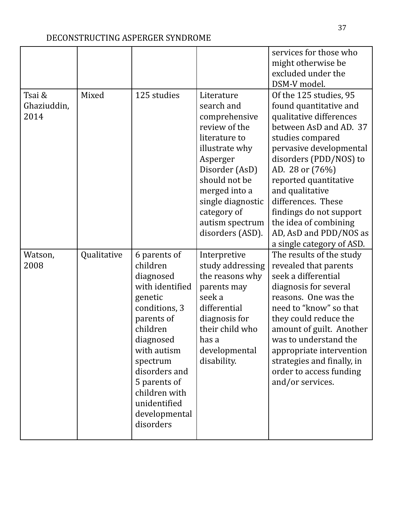|                               |             |                                                                                                                                                                                                                                                        |                                                                                                                                                                                                                                          | services for those who<br>might otherwise be<br>excluded under the<br>DSM-V model.                                                                                                                                                                                                                                                                                             |
|-------------------------------|-------------|--------------------------------------------------------------------------------------------------------------------------------------------------------------------------------------------------------------------------------------------------------|------------------------------------------------------------------------------------------------------------------------------------------------------------------------------------------------------------------------------------------|--------------------------------------------------------------------------------------------------------------------------------------------------------------------------------------------------------------------------------------------------------------------------------------------------------------------------------------------------------------------------------|
| Tsai &<br>Ghaziuddin,<br>2014 | Mixed       | 125 studies                                                                                                                                                                                                                                            | Literature<br>search and<br>comprehensive<br>review of the<br>literature to<br>illustrate why<br>Asperger<br>Disorder (AsD)<br>should not be<br>merged into a<br>single diagnostic<br>category of<br>autism spectrum<br>disorders (ASD). | Of the 125 studies, 95<br>found quantitative and<br>qualitative differences<br>between AsD and AD. 37<br>studies compared<br>pervasive developmental<br>disorders (PDD/NOS) to<br>AD. 28 or (76%)<br>reported quantitative<br>and qualitative<br>differences. These<br>findings do not support<br>the idea of combining<br>AD, AsD and PDD/NOS as<br>a single category of ASD. |
| Watson,<br>2008               | Qualitative | 6 parents of<br>children<br>diagnosed<br>with identified<br>genetic<br>conditions, 3<br>parents of<br>children<br>diagnosed<br>with autism<br>spectrum<br>disorders and<br>5 parents of<br>children with<br>unidentified<br>developmental<br>disorders | Interpretive<br>study addressing<br>the reasons why<br>parents may<br>seek a<br>differential<br>diagnosis for<br>their child who<br>has a<br>developmental<br>disability.                                                                | The results of the study<br>revealed that parents<br>seek a differential<br>diagnosis for several<br>reasons. One was the<br>need to "know" so that<br>they could reduce the<br>amount of guilt. Another<br>was to understand the<br>appropriate intervention<br>strategies and finally, in<br>order to access funding<br>and/or services.                                     |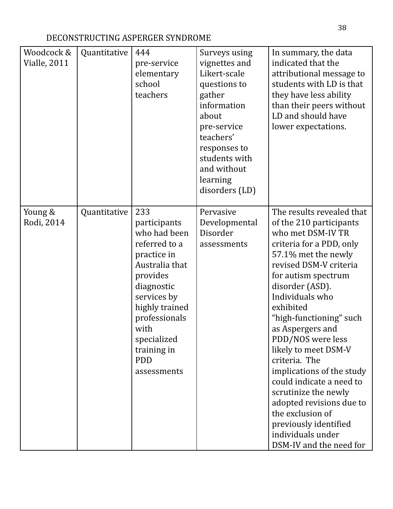| Woodcock &<br><b>Vialle, 2011</b> | Quantitative | 444<br>pre-service<br>elementary<br>school<br>teachers                                                                                                                                                                               | Surveys using<br>vignettes and<br>Likert-scale<br>questions to<br>gather<br>information<br>about<br>pre-service<br>teachers'<br>responses to<br>students with<br>and without<br>learning<br>disorders (LD) | In summary, the data<br>indicated that the<br>attributional message to<br>students with LD is that<br>they have less ability<br>than their peers without<br>LD and should have<br>lower expectations.                                                                                                                                                                                                                                                                                                                                                   |
|-----------------------------------|--------------|--------------------------------------------------------------------------------------------------------------------------------------------------------------------------------------------------------------------------------------|------------------------------------------------------------------------------------------------------------------------------------------------------------------------------------------------------------|---------------------------------------------------------------------------------------------------------------------------------------------------------------------------------------------------------------------------------------------------------------------------------------------------------------------------------------------------------------------------------------------------------------------------------------------------------------------------------------------------------------------------------------------------------|
| Young &<br>Rodi, 2014             | Quantitative | 233<br>participants<br>who had been<br>referred to a<br>practice in<br>Australia that<br>provides<br>diagnostic<br>services by<br>highly trained<br>professionals<br>with<br>specialized<br>training in<br><b>PDD</b><br>assessments | Pervasive<br>Developmental<br>Disorder<br>assessments                                                                                                                                                      | The results revealed that<br>of the 210 participants<br>who met DSM-IV TR<br>criteria for a PDD, only<br>57.1% met the newly<br>revised DSM-V criteria<br>for autism spectrum<br>disorder (ASD).<br>Individuals who<br>exhibited<br>"high-functioning" such<br>as Aspergers and<br>PDD/NOS were less<br>likely to meet DSM-V<br>criteria. The<br>implications of the study<br>could indicate a need to<br>scrutinize the newly<br>adopted revisions due to<br>the exclusion of<br>previously identified<br>individuals under<br>DSM-IV and the need for |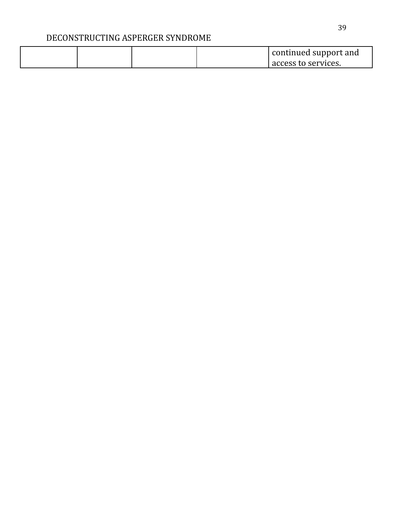|  |  | continued support and |
|--|--|-----------------------|
|  |  | access to services.   |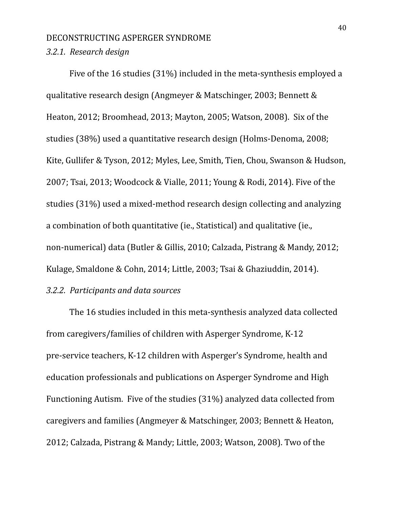#### *3.2.1. Research design*

Five of the 16 studies (31%) included in the meta-synthesis employed a qualitative research design (Angmeyer & Matschinger, 2003; Bennett & Heaton, 2012; Broomhead, 2013; Mayton, 2005; Watson, 2008). Six of the studies (38%) used a quantitative research design (Holms-Denoma, 2008; Kite, Gullifer & Tyson, 2012; Myles, Lee, Smith, Tien, Chou, Swanson & Hudson, 2007; Tsai, 2013; Woodcock & Vialle, 2011; Young & Rodi, 2014). Five of the studies (31%) used a mixed-method research design collecting and analyzing a combination of both quantitative (ie., Statistical) and qualitative (ie., non-numerical) data (Butler & Gillis, 2010; Calzada, Pistrang & Mandy, 2012; Kulage, Smaldone & Cohn, 2014; Little, 2003; Tsai & Ghaziuddin, 2014).

# *3.2.2. Participants and data sources*

The 16 studies included in this meta-synthesis analyzed data collected from caregivers/families of children with Asperger Syndrome, K-12 pre-service teachers, K-12 children with Asperger's Syndrome, health and education professionals and publications on Asperger Syndrome and High Functioning Autism. Five of the studies (31%) analyzed data collected from caregivers and families (Angmeyer & Matschinger, 2003; Bennett & Heaton, 2012; Calzada, Pistrang & Mandy; Little, 2003; Watson, 2008). Two of the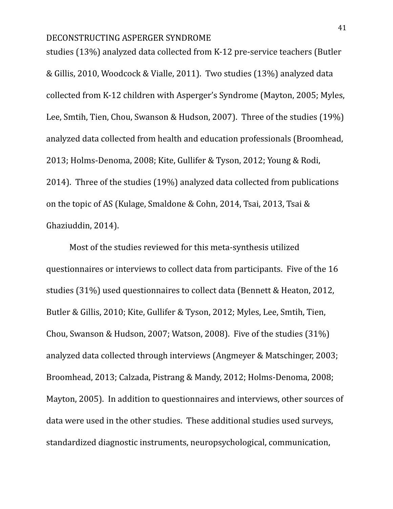studies (13%) analyzed data collected from K-12 pre-service teachers (Butler & Gillis, 2010, Woodcock & Vialle, 2011). Two studies (13%) analyzed data collected from K-12 children with Asperger's Syndrome (Mayton, 2005; Myles, Lee, Smtih, Tien, Chou, Swanson & Hudson, 2007). Three of the studies (19%) analyzed data collected from health and education professionals (Broomhead, 2013; Holms-Denoma, 2008; Kite, Gullifer & Tyson, 2012; Young & Rodi, 2014). Three of the studies (19%) analyzed data collected from publications on the topic of AS (Kulage, Smaldone & Cohn, 2014, Tsai, 2013, Tsai & Ghaziuddin, 2014).

Most of the studies reviewed for this meta-synthesis utilized questionnaires or interviews to collect data from participants. Five of the 16 studies (31%) used questionnaires to collect data (Bennett & Heaton, 2012, Butler & Gillis, 2010; Kite, Gullifer & Tyson, 2012; Myles, Lee, Smtih, Tien, Chou, Swanson & Hudson, 2007; Watson, 2008). Five of the studies (31%) analyzed data collected through interviews (Angmeyer & Matschinger, 2003; Broomhead, 2013; Calzada, Pistrang & Mandy, 2012; Holms-Denoma, 2008; Mayton, 2005). In addition to questionnaires and interviews, other sources of data were used in the other studies. These additional studies used surveys, standardized diagnostic instruments, neuropsychological, communication,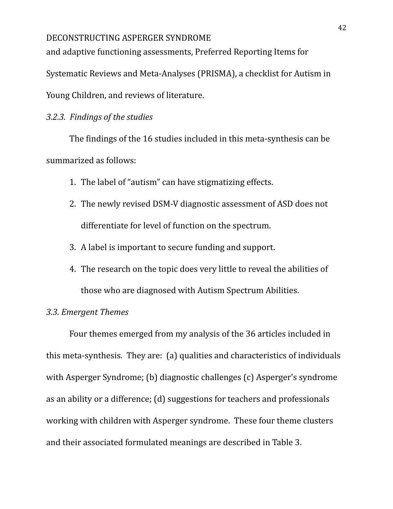and adaptive functioning assessments, Preferred Reporting Items for

Systematic Reviews and Meta-Analyses (PRISMA), a checklist for Autism in

Young Children, and reviews of literature.

### *3.2.3. Findings of the studies*

The findings of the 16 studies included in this meta-synthesis can be summarized as follows:

- 1. The label of "autism" can have stigmatizing effects.
- 2. The newly revised DSM-V diagnostic assessment of ASD does not differentiate for level of function on the spectrum.
- 3. A label is important to secure funding and support.
- 4. The research on the topic does very little to reveal the abilities of those who are diagnosed with Autism Spectrum Abilities.

### *3.3. Emergent Themes*

Four themes emerged from my analysis of the 36 articles included in this meta-synthesis. They are: (a) qualities and characteristics of individuals with Asperger Syndrome; (b) diagnostic challenges (c) Asperger's syndrome as an ability or a difference; (d) suggestions for teachers and professionals working with children with Asperger syndrome. These four theme clusters and their associated formulated meanings are described in Table 3.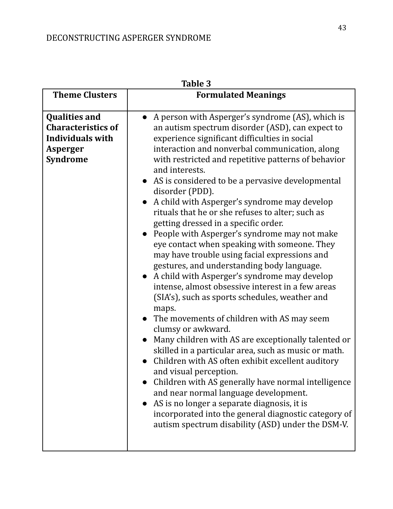| Table 3                                                                                                     |                                                                                                                                                                                                                                                                                                                                                                                                                                                                                                                                                                                                                                                                                                                                                                                                                                                                                                                                                                                                                                                                                                                                                                                                                                                                                                                                                                                                  |  |  |  |
|-------------------------------------------------------------------------------------------------------------|--------------------------------------------------------------------------------------------------------------------------------------------------------------------------------------------------------------------------------------------------------------------------------------------------------------------------------------------------------------------------------------------------------------------------------------------------------------------------------------------------------------------------------------------------------------------------------------------------------------------------------------------------------------------------------------------------------------------------------------------------------------------------------------------------------------------------------------------------------------------------------------------------------------------------------------------------------------------------------------------------------------------------------------------------------------------------------------------------------------------------------------------------------------------------------------------------------------------------------------------------------------------------------------------------------------------------------------------------------------------------------------------------|--|--|--|
| <b>Theme Clusters</b>                                                                                       | <b>Formulated Meanings</b>                                                                                                                                                                                                                                                                                                                                                                                                                                                                                                                                                                                                                                                                                                                                                                                                                                                                                                                                                                                                                                                                                                                                                                                                                                                                                                                                                                       |  |  |  |
| <b>Qualities and</b><br><b>Characteristics of</b><br><b>Individuals with</b><br>Asperger<br><b>Syndrome</b> | A person with Asperger's syndrome (AS), which is<br>an autism spectrum disorder (ASD), can expect to<br>experience significant difficulties in social<br>interaction and nonverbal communication, along<br>with restricted and repetitive patterns of behavior<br>and interests.<br>AS is considered to be a pervasive developmental<br>disorder (PDD).<br>A child with Asperger's syndrome may develop<br>rituals that he or she refuses to alter; such as<br>getting dressed in a specific order.<br>People with Asperger's syndrome may not make<br>eye contact when speaking with someone. They<br>may have trouble using facial expressions and<br>gestures, and understanding body language.<br>A child with Asperger's syndrome may develop<br>intense, almost obsessive interest in a few areas<br>(SIA's), such as sports schedules, weather and<br>maps.<br>The movements of children with AS may seem<br>clumsy or awkward.<br>Many children with AS are exceptionally talented or<br>skilled in a particular area, such as music or math.<br>Children with AS often exhibit excellent auditory<br>and visual perception.<br>Children with AS generally have normal intelligence<br>and near normal language development.<br>AS is no longer a separate diagnosis, it is<br>incorporated into the general diagnostic category of<br>autism spectrum disability (ASD) under the DSM-V. |  |  |  |

**Table 3**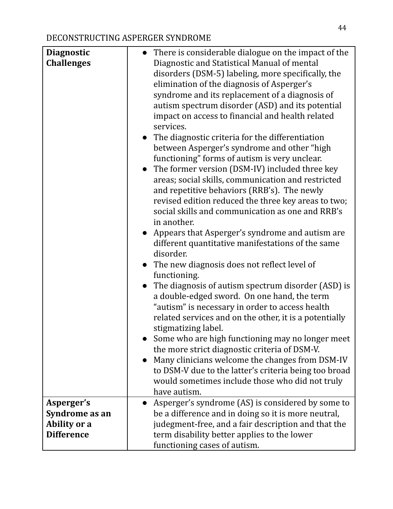| <b>Diagnostic</b> |           | • There is considerable dialogue on the impact of the  |
|-------------------|-----------|--------------------------------------------------------|
| <b>Challenges</b> |           | Diagnostic and Statistical Manual of mental            |
|                   |           | disorders (DSM-5) labeling, more specifically, the     |
|                   |           | elimination of the diagnosis of Asperger's             |
|                   |           | syndrome and its replacement of a diagnosis of         |
|                   |           | autism spectrum disorder (ASD) and its potential       |
|                   |           | impact on access to financial and health related       |
|                   |           | services.                                              |
|                   |           | • The diagnostic criteria for the differentiation      |
|                   |           | between Asperger's syndrome and other "high            |
|                   |           | functioning" forms of autism is very unclear.          |
|                   |           | • The former version (DSM-IV) included three key       |
|                   |           | areas; social skills, communication and restricted     |
|                   |           | and repetitive behaviors (RRB's). The newly            |
|                   |           | revised edition reduced the three key areas to two;    |
|                   |           | social skills and communication as one and RRB's       |
|                   |           | in another.                                            |
|                   |           | Appears that Asperger's syndrome and autism are        |
|                   |           | different quantitative manifestations of the same      |
|                   |           | disorder.                                              |
|                   | $\bullet$ | The new diagnosis does not reflect level of            |
|                   |           | functioning.                                           |
|                   |           | The diagnosis of autism spectrum disorder (ASD) is     |
|                   |           | a double-edged sword. On one hand, the term            |
|                   |           | "autism" is necessary in order to access health        |
|                   |           | related services and on the other, it is a potentially |
|                   |           | stigmatizing label.                                    |
|                   |           | Some who are high functioning may no longer meet       |
|                   |           | the more strict diagnostic criteria of DSM-V.          |
|                   |           | Many clinicians welcome the changes from DSM-IV        |
|                   |           | to DSM-V due to the latter's criteria being too broad  |
|                   |           | would sometimes include those who did not truly        |
|                   |           | have autism.                                           |
| Asperger's        | $\bullet$ | Asperger's syndrome (AS) is considered by some to      |
| Syndrome as an    |           | be a difference and in doing so it is more neutral,    |
| Ability or a      |           | judegment-free, and a fair description and that the    |
| <b>Difference</b> |           | term disability better applies to the lower            |
|                   |           | functioning cases of autism.                           |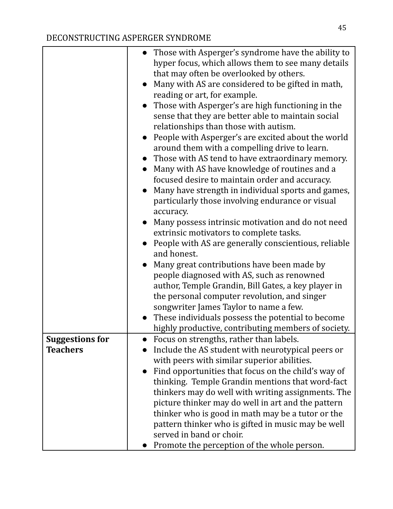|                        |           | • Those with Asperger's syndrome have the ability to |
|------------------------|-----------|------------------------------------------------------|
|                        |           | hyper focus, which allows them to see many details   |
|                        |           | that may often be overlooked by others.              |
|                        |           | Many with AS are considered to be gifted in math,    |
|                        |           | reading or art, for example.                         |
|                        | $\bullet$ | Those with Asperger's are high functioning in the    |
|                        |           | sense that they are better able to maintain social   |
|                        |           | relationships than those with autism.                |
|                        | $\bullet$ | People with Asperger's are excited about the world   |
|                        |           | around them with a compelling drive to learn.        |
|                        |           | Those with AS tend to have extraordinary memory.     |
|                        |           | Many with AS have knowledge of routines and a        |
|                        |           | focused desire to maintain order and accuracy.       |
|                        | $\bullet$ | Many have strength in individual sports and games,   |
|                        |           | particularly those involving endurance or visual     |
|                        |           | accuracy.                                            |
|                        | $\bullet$ | Many possess intrinsic motivation and do not need    |
|                        |           | extrinsic motivators to complete tasks.              |
|                        |           | People with AS are generally conscientious, reliable |
|                        |           | and honest.                                          |
|                        |           | Many great contributions have been made by           |
|                        |           | people diagnosed with AS, such as renowned           |
|                        |           | author, Temple Grandin, Bill Gates, a key player in  |
|                        |           | the personal computer revolution, and singer         |
|                        |           | songwriter James Taylor to name a few.               |
|                        | $\bullet$ | These individuals possess the potential to become    |
|                        |           | highly productive, contributing members of society.  |
| <b>Suggestions for</b> |           | Focus on strengths, rather than labels.              |
| <b>Teachers</b>        |           | Include the AS student with neurotypical peers or    |
|                        |           | with peers with similar superior abilities.          |
|                        | $\bullet$ | Find opportunities that focus on the child's way of  |
|                        |           | thinking. Temple Grandin mentions that word-fact     |
|                        |           | thinkers may do well with writing assignments. The   |
|                        |           | picture thinker may do well in art and the pattern   |
|                        |           | thinker who is good in math may be a tutor or the    |
|                        |           | pattern thinker who is gifted in music may be well   |
|                        |           | served in band or choir.                             |
|                        | $\bullet$ | Promote the perception of the whole person.          |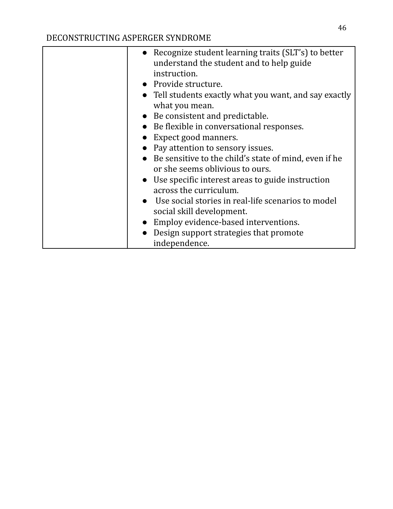| • Recognize student learning traits (SLT's) to better<br>understand the student and to help guide |
|---------------------------------------------------------------------------------------------------|
| instruction.                                                                                      |
| • Provide structure.                                                                              |
| • Tell students exactly what you want, and say exactly                                            |
| what you mean.                                                                                    |
| • Be consistent and predictable.                                                                  |
| • Be flexible in conversational responses.                                                        |
| Expect good manners.                                                                              |
| Pay attention to sensory issues.                                                                  |
| • Be sensitive to the child's state of mind, even if he                                           |
| or she seems oblivious to ours.                                                                   |
| • Use specific interest areas to guide instruction                                                |
| across the curriculum.                                                                            |
| • Use social stories in real-life scenarios to model                                              |
| social skill development.                                                                         |
| Employ evidence-based interventions.                                                              |
| Design support strategies that promote                                                            |
| independence.                                                                                     |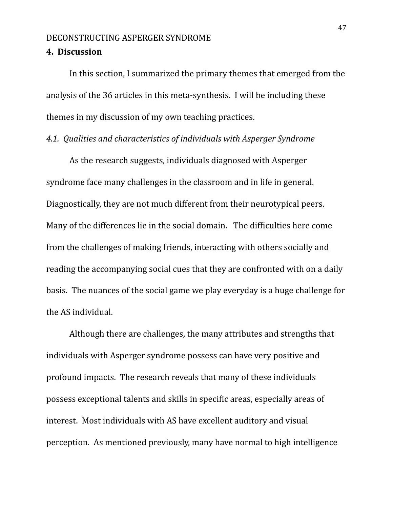### **4. Discussion**

In this section, I summarized the primary themes that emerged from the analysis of the 36 articles in this meta-synthesis. I will be including these themes in my discussion of my own teaching practices.

### *4.1. Qualities and characteristics of individuals with Asperger Syndrome*

As the research suggests, individuals diagnosed with Asperger syndrome face many challenges in the classroom and in life in general. Diagnostically, they are not much different from their neurotypical peers. Many of the differences lie in the social domain. The difficulties here come from the challenges of making friends, interacting with others socially and reading the accompanying social cues that they are confronted with on a daily basis. The nuances of the social game we play everyday is a huge challenge for the AS individual.

Although there are challenges, the many attributes and strengths that individuals with Asperger syndrome possess can have very positive and profound impacts. The research reveals that many of these individuals possess exceptional talents and skills in specific areas, especially areas of interest. Most individuals with AS have excellent auditory and visual perception. As mentioned previously, many have normal to high intelligence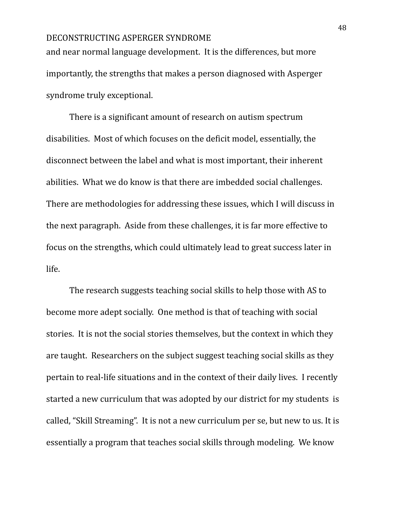and near normal language development. It is the differences, but more importantly, the strengths that makes a person diagnosed with Asperger syndrome truly exceptional.

There is a significant amount of research on autism spectrum disabilities. Most of which focuses on the deficit model, essentially, the disconnect between the label and what is most important, their inherent abilities. What we do know is that there are imbedded social challenges. There are methodologies for addressing these issues, which I will discuss in the next paragraph. Aside from these challenges, it is far more effective to focus on the strengths, which could ultimately lead to great success later in life.

The research suggests teaching social skills to help those with AS to become more adept socially. One method is that of teaching with social stories. It is not the social stories themselves, but the context in which they are taught. Researchers on the subject suggest teaching social skills as they pertain to real-life situations and in the context of their daily lives. I recently started a new curriculum that was adopted by our district for my students is called, "Skill Streaming". It is not a new curriculum per se, but new to us. It is essentially a program that teaches social skills through modeling. We know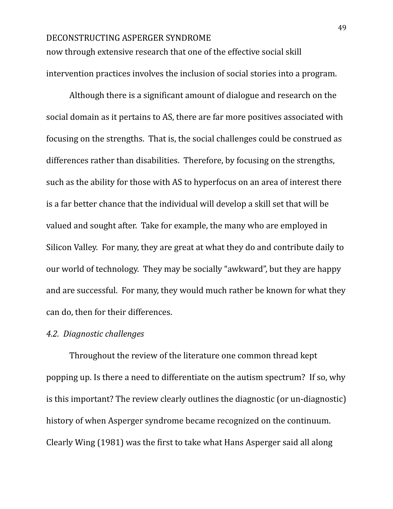now through extensive research that one of the effective social skill intervention practices involves the inclusion of social stories into a program.

Although there is a significant amount of dialogue and research on the social domain as it pertains to AS, there are far more positives associated with focusing on the strengths. That is, the social challenges could be construed as differences rather than disabilities. Therefore, by focusing on the strengths, such as the ability for those with AS to hyperfocus on an area of interest there is a far better chance that the individual will develop a skill set that will be valued and sought after. Take for example, the many who are employed in Silicon Valley. For many, they are great at what they do and contribute daily to our world of technology. They may be socially "awkward", but they are happy and are successful. For many, they would much rather be known for what they can do, then for their differences.

### *4.2. Diagnostic challenges*

Throughout the review of the literature one common thread kept popping up. Is there a need to differentiate on the autism spectrum? If so, why is this important? The review clearly outlines the diagnostic (or un-diagnostic) history of when Asperger syndrome became recognized on the continuum. Clearly Wing (1981) was the first to take what Hans Asperger said all along

49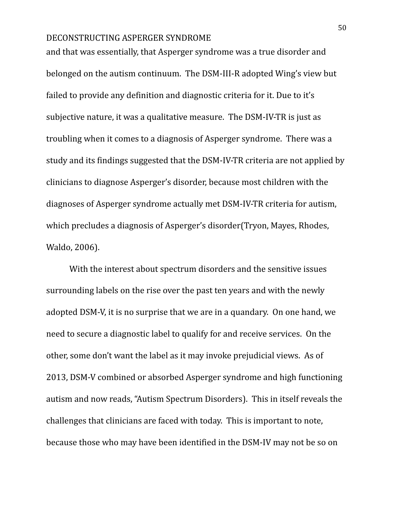and that was essentially, that Asperger syndrome was a true disorder and belonged on the autism continuum. The DSM-III-R adopted Wing's view but failed to provide any definition and diagnostic criteria for it. Due to it's subjective nature, it was a qualitative measure. The DSM-IV-TR is just as troubling when it comes to a diagnosis of Asperger syndrome. There was a study and its findings suggested that the DSM-IV-TR criteria are not applied by clinicians to diagnose Asperger's disorder, because most children with the diagnoses of Asperger syndrome actually met DSM-IV-TR criteria for autism, which precludes a diagnosis of Asperger's disorder(Tryon, Mayes, Rhodes, Waldo, 2006).

With the interest about spectrum disorders and the sensitive issues surrounding labels on the rise over the past ten years and with the newly adopted DSM-V, it is no surprise that we are in a quandary. On one hand, we need to secure a diagnostic label to qualify for and receive services. On the other, some don't want the label as it may invoke prejudicial views. As of 2013, DSM-V combined or absorbed Asperger syndrome and high functioning autism and now reads, "Autism Spectrum Disorders). This in itself reveals the challenges that clinicians are faced with today. This is important to note, because those who may have been identified in the DSM-IV may not be so on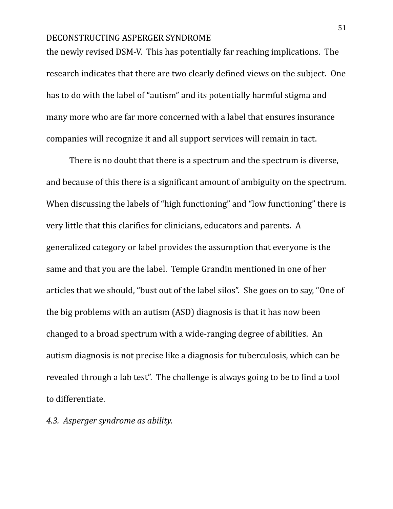the newly revised DSM-V. This has potentially far reaching implications. The research indicates that there are two clearly defined views on the subject. One has to do with the label of "autism" and its potentially harmful stigma and many more who are far more concerned with a label that ensures insurance companies will recognize it and all support services will remain in tact.

There is no doubt that there is a spectrum and the spectrum is diverse, and because of this there is a significant amount of ambiguity on the spectrum. When discussing the labels of "high functioning" and "low functioning" there is very little that this clarifies for clinicians, educators and parents. A generalized category or label provides the assumption that everyone is the same and that you are the label. Temple Grandin mentioned in one of her articles that we should, "bust out of the label silos". She goes on to say, "One of the big problems with an autism (ASD) diagnosis is that it has now been changed to a broad spectrum with a wide-ranging degree of abilities. An autism diagnosis is not precise like a diagnosis for tuberculosis, which can be revealed through a lab test". The challenge is always going to be to find a tool to differentiate.

*4.3. Asperger syndrome as ability.*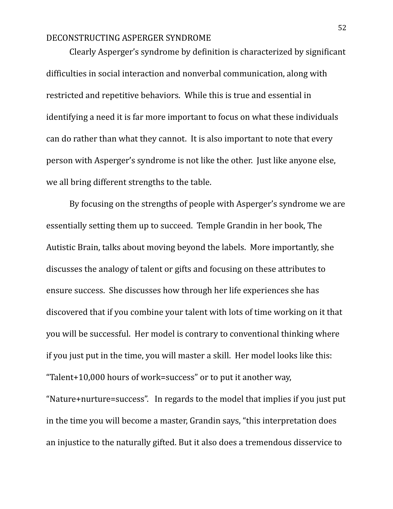Clearly Asperger's syndrome by definition is characterized by significant difficulties in social interaction and nonverbal communication, along with restricted and repetitive behaviors. While this is true and essential in identifying a need it is far more important to focus on what these individuals can do rather than what they cannot. It is also important to note that every person with Asperger's syndrome is not like the other. Just like anyone else, we all bring different strengths to the table.

By focusing on the strengths of people with Asperger's syndrome we are essentially setting them up to succeed. Temple Grandin in her book, The Autistic Brain, talks about moving beyond the labels. More importantly, she discusses the analogy of talent or gifts and focusing on these attributes to ensure success. She discusses how through her life experiences she has discovered that if you combine your talent with lots of time working on it that you will be successful. Her model is contrary to conventional thinking where if you just put in the time, you will master a skill. Her model looks like this: "Talent+10,000 hours of work=success" or to put it another way,

"Nature+nurture=success". In regards to the model that implies if you just put in the time you will become a master, Grandin says, "this interpretation does an injustice to the naturally gifted. But it also does a tremendous disservice to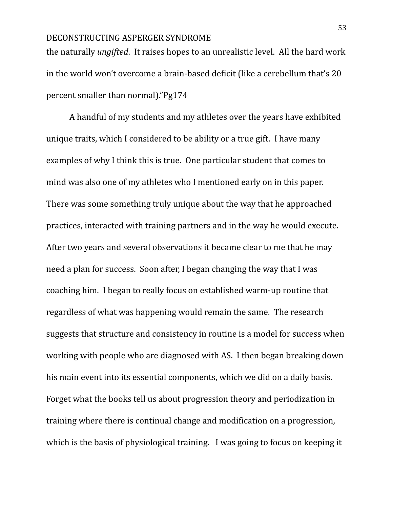the naturally *ungifted*. It raises hopes to an unrealistic level. All the hard work in the world won't overcome a brain-based deficit (like a cerebellum that's 20 percent smaller than normal)."Pg174

A handful of my students and my athletes over the years have exhibited unique traits, which I considered to be ability or a true gift. I have many examples of why I think this is true. One particular student that comes to mind was also one of my athletes who I mentioned early on in this paper. There was some something truly unique about the way that he approached practices, interacted with training partners and in the way he would execute. After two years and several observations it became clear to me that he may need a plan for success. Soon after, I began changing the way that I was coaching him. I began to really focus on established warm-up routine that regardless of what was happening would remain the same. The research suggests that structure and consistency in routine is a model for success when working with people who are diagnosed with AS. I then began breaking down his main event into its essential components, which we did on a daily basis. Forget what the books tell us about progression theory and periodization in training where there is continual change and modification on a progression, which is the basis of physiological training. I was going to focus on keeping it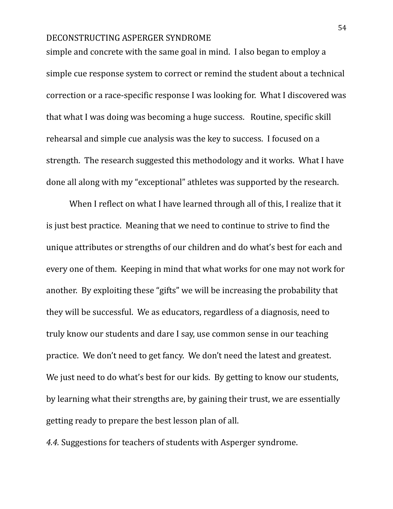simple and concrete with the same goal in mind. I also began to employ a simple cue response system to correct or remind the student about a technical correction or a race-specific response I was looking for. What I discovered was that what I was doing was becoming a huge success. Routine, specific skill rehearsal and simple cue analysis was the key to success. I focused on a strength. The research suggested this methodology and it works. What I have done all along with my "exceptional" athletes was supported by the research.

When I reflect on what I have learned through all of this, I realize that it is just best practice. Meaning that we need to continue to strive to find the unique attributes or strengths of our children and do what's best for each and every one of them. Keeping in mind that what works for one may not work for another. By exploiting these "gifts" we will be increasing the probability that they will be successful. We as educators, regardless of a diagnosis, need to truly know our students and dare I say, use common sense in our teaching practice. We don't need to get fancy. We don't need the latest and greatest. We just need to do what's best for our kids. By getting to know our students, by learning what their strengths are, by gaining their trust, we are essentially getting ready to prepare the best lesson plan of all.

*4.4.* Suggestions for teachers of students with Asperger syndrome.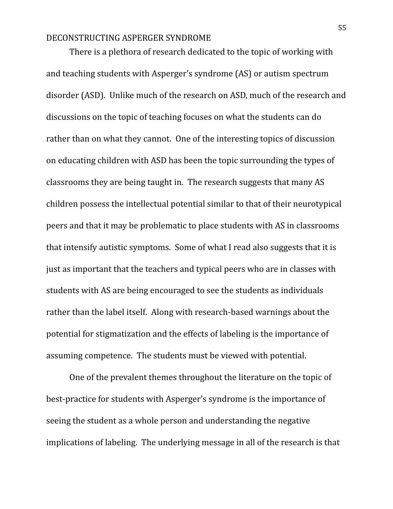There is a plethora of research dedicated to the topic of working with and teaching students with Asperger's syndrome (AS) or autism spectrum disorder (ASD). Unlike much of the research on ASD, much of the research and discussions on the topic of teaching focuses on what the students can do rather than on what they cannot. One of the interesting topics of discussion on educating children with ASD has been the topic surrounding the types of classrooms they are being taught in. The research suggests that many AS children possess the intellectual potential similar to that of their neurotypical peers and that it may be problematic to place students with AS in classrooms that intensify autistic symptoms. Some of what I read also suggests that it is just as important that the teachers and typical peers who are in classes with students with AS are being encouraged to see the students as individuals rather than the label itself. Along with research-based warnings about the potential for stigmatization and the effects of labeling is the importance of assuming competence. The students must be viewed with potential.

One of the prevalent themes throughout the literature on the topic of best-practice for students with Asperger's syndrome is the importance of seeing the student as a whole person and understanding the negative implications of labeling. The underlying message in all of the research is that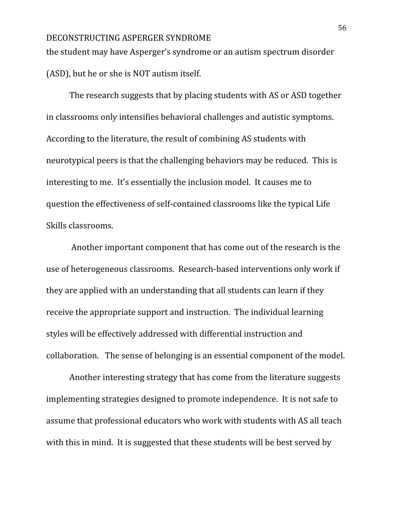the student may have Asperger's syndrome or an autism spectrum disorder (ASD), but he or she is NOT autism itself.

The research suggests that by placing students with AS or ASD together in classrooms only intensifies behavioral challenges and autistic symptoms. According to the literature, the result of combining AS students with neurotypical peers is that the challenging behaviors may be reduced. This is interesting to me. It's essentially the inclusion model. It causes me to question the effectiveness of self-contained classrooms like the typical Life Skills classrooms.

Another important component that has come out of the research is the use of heterogeneous classrooms. Research-based interventions only work if they are applied with an understanding that all students can learn if they receive the appropriate support and instruction. The individual learning styles will be effectively addressed with differential instruction and collaboration. The sense of belonging is an essential component of the model.

Another interesting strategy that has come from the literature suggests implementing strategies designed to promote independence. It is not safe to assume that professional educators who work with students with AS all teach with this in mind. It is suggested that these students will be best served by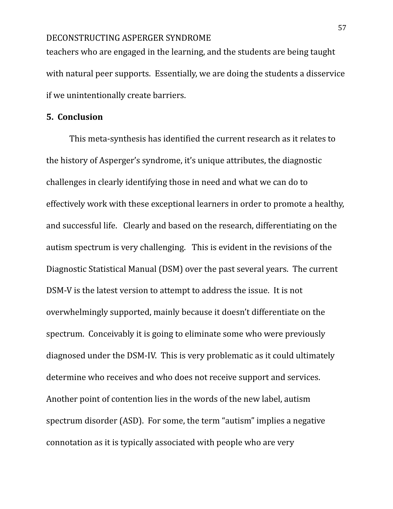teachers who are engaged in the learning, and the students are being taught with natural peer supports. Essentially, we are doing the students a disservice if we unintentionally create barriers.

### **5. Conclusion**

This meta-synthesis has identified the current research as it relates to the history of Asperger's syndrome, it's unique attributes, the diagnostic challenges in clearly identifying those in need and what we can do to effectively work with these exceptional learners in order to promote a healthy, and successful life. Clearly and based on the research, differentiating on the autism spectrum is very challenging. This is evident in the revisions of the Diagnostic Statistical Manual (DSM) over the past several years. The current DSM-V is the latest version to attempt to address the issue. It is not overwhelmingly supported, mainly because it doesn't differentiate on the spectrum. Conceivably it is going to eliminate some who were previously diagnosed under the DSM-IV. This is very problematic as it could ultimately determine who receives and who does not receive support and services. Another point of contention lies in the words of the new label, autism spectrum disorder (ASD). For some, the term "autism" implies a negative connotation as it is typically associated with people who are very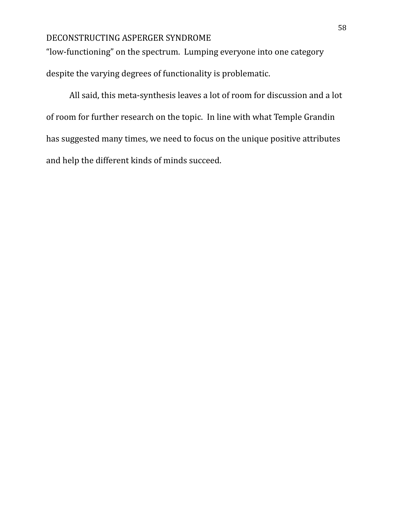"low-functioning" on the spectrum. Lumping everyone into one category despite the varying degrees of functionality is problematic.

All said, this meta-synthesis leaves a lot of room for discussion and a lot of room for further research on the topic. In line with what Temple Grandin has suggested many times, we need to focus on the unique positive attributes and help the different kinds of minds succeed.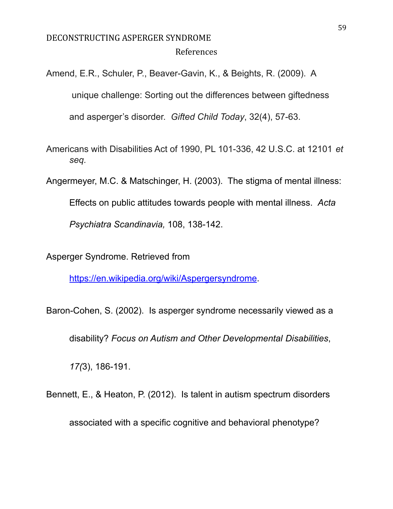### DECONSTRUCTING ASPERGER SYNDROME References

Amend, E.R., Schuler, P., Beaver-Gavin, K., & Beights, R. (2009). A

unique challenge: Sorting out the differences between giftedness

and asperger's disorder. *Gifted Child Today*, 32(4), 57-63.

Americans with Disabilities Act of 1990, PL 101-336, 42 U.S.C. at 12101 *et seq.*

Angermeyer, M.C. & Matschinger, H. (2003). The stigma of mental illness:

Effects on public attitudes towards people with mental illness. *Acta*

*Psychiatra Scandinavia,* 108, 138-142.

Asperger Syndrome. Retrieved from

[https://en.wikipedia.org/wiki/Aspergersyndrome](https://en.wikipedia.org/wiki/Asperger_syndrome).

Baron-Cohen, S. (2002). Is asperger syndrome necessarily viewed as a

disability? *Focus on Autism and Other Developmental Disabilities*,

*17(*3), 186-191.

Bennett, E., & Heaton, P. (2012). Is talent in autism spectrum disorders

associated with a specific cognitive and behavioral phenotype?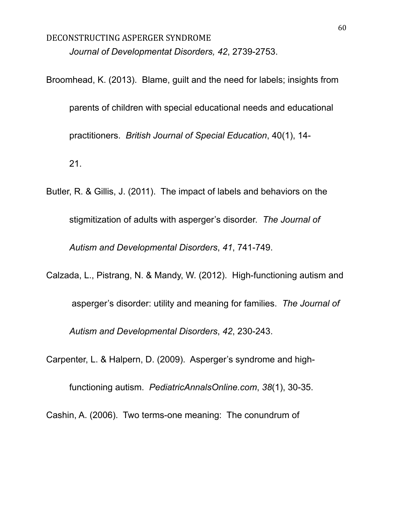# DECONSTRUCTING ASPERGER SYNDROME *Journal of Developmentat Disorders, 42*, 2739-2753.

Broomhead, K. (2013). Blame, guilt and the need for labels; insights from parents of children with special educational needs and educational practitioners. *British Journal of Special Education*, 40(1), 14- 21.

Butler, R. & Gillis, J. (2011). The impact of labels and behaviors on the stigmitization of adults with asperger's disorder. *The Journal of Autism and Developmental Disorders*, *41*, 741-749.

Calzada, L., Pistrang, N. & Mandy, W. (2012). High-functioning autism and

asperger's disorder: utility and meaning for families. *The Journal of Autism and Developmental Disorders*, *42*, 230-243.

Carpenter, L. & Halpern, D. (2009). Asperger's syndrome and high-

functioning autism. *PediatricAnnalsOnline.com*, *38*(1), 30-35.

Cashin, A. (2006). Two terms-one meaning: The conundrum of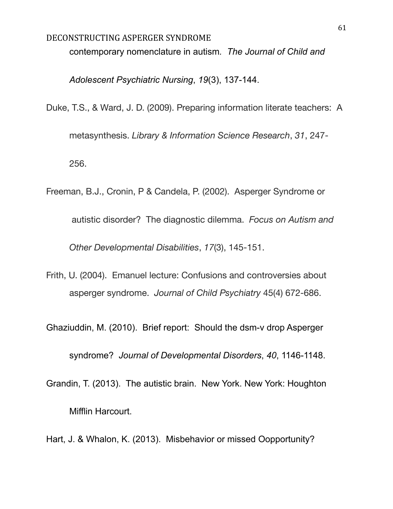contemporary nomenclature in autism*. The Journal of Child and*

*Adolescent Psychiatric Nursing*, *19*(3), 137-144.

Duke, T.S., & Ward, J. D. (2009). Preparing information literate teachers: A

metasynthesis. *Library & Information Science Research*, *31*, 247- 256.

Freeman, B.J., Cronin, P & Candela, P. (2002). Asperger Syndrome or autistic disorder? The diagnostic dilemma. *Focus on Autism and Other Developmental Disabilities*, *17*(3), 145-151.

Frith, U. (2004). Emanuel lecture: Confusions and controversies about asperger syndrome. *Journal of Child Psychiatry* 45(4) 672-686.

Ghaziuddin, M. (2010). Brief report: Should the dsm-v drop Asperger

syndrome? *Journal of Developmental Disorders*, *40*, 1146-1148.

- Grandin, T. (2013). The autistic brain. New York. New York: Houghton Mifflin Harcourt.
- Hart, J. & Whalon, K. (2013). Misbehavior or missed Oopportunity?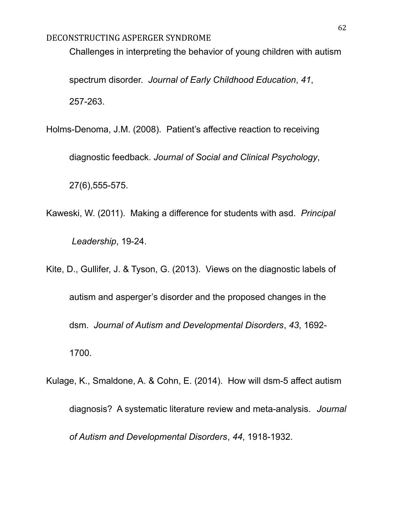Challenges in interpreting the behavior of young children with autism

spectrum disorder. *Journal of Early Childhood Education*, *41*, 257-263.

Holms-Denoma, J.M. (2008). Patient's affective reaction to receiving

diagnostic feedback. *Journal of Social and Clinical Psychology*,

27(6),555-575.

- Kaweski, W. (2011). Making a difference for students with asd. *Principal Leadership*, 19-24.
- Kite, D., Gullifer, J. & Tyson, G. (2013). Views on the diagnostic labels of autism and asperger's disorder and the proposed changes in the dsm. *Journal of Autism and Developmental Disorders*, *43*, 1692- 1700.
- Kulage, K., Smaldone, A. & Cohn, E. (2014). How will dsm-5 affect autism diagnosis? A systematic literature review and meta-analysis. *Journal of Autism and Developmental Disorders*, *44*, 1918-1932.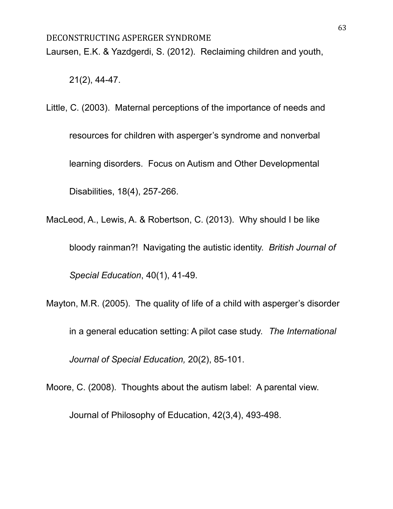Laursen, E.K. & Yazdgerdi, S. (2012). Reclaiming children and youth,

21(2), 44-47.

Little, C. (2003). Maternal perceptions of the importance of needs and resources for children with asperger's syndrome and nonverbal learning disorders. Focus on Autism and Other Developmental Disabilities, 18(4), 257-266.

MacLeod, A., Lewis, A. & Robertson, C. (2013). Why should I be like bloody rainman?! Navigating the autistic identity. *British Journal of Special Education*, 40(1), 41-49.

Mayton, M.R. (2005). The quality of life of a child with asperger's disorder in a general education setting: A pilot case study. *The International Journal of Special Education,* 20(2), 85-101.

Moore, C. (2008). Thoughts about the autism label: A parental view.

Journal of Philosophy of Education, 42(3,4), 493-498.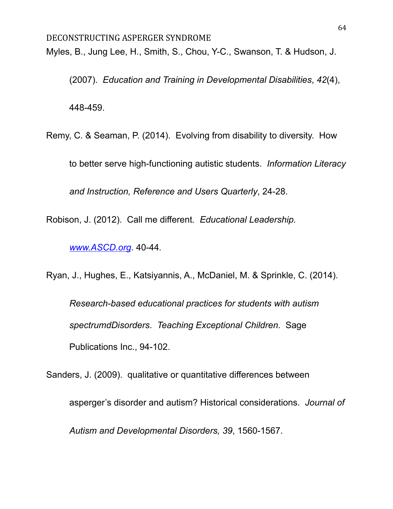Myles, B., Jung Lee, H., Smith, S., Chou, Y-C., Swanson, T. & Hudson, J.

(2007). *Education and Training in Developmental Disabilities*, *42*(4),

448-459.

Remy, C. & Seaman, P. (2014). Evolving from disability to diversity. How to better serve high-functioning autistic students. *Information Literacy*

*and Instruction, Reference and Users Quarterly*, 24-28.

Robison, J. (2012). Call me different*. Educational Leadership.*

*[www.ASCD.org](http://www.ascd.org)*. 40-44*.*

Ryan, J., Hughes, E., Katsiyannis, A., McDaniel, M. & Sprinkle, C. (2014).

*Research-based educational practices for students with autism spectrumdDisorders*. *Teaching Exceptional Children*. Sage Publications Inc., 94-102.

Sanders, J. (2009). qualitative or quantitative differences between asperger's disorder and autism? Historical considerations. *Journal of Autism and Developmental Disorders, 39*, 1560-1567.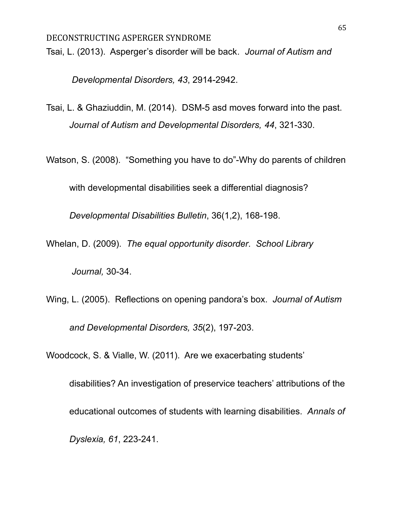Tsai, L. (2013). Asperger's disorder will be back*. Journal of Autism and*

*Developmental Disorders, 43*, 2914-2942.

Tsai, L. & Ghaziuddin, M. (2014). DSM-5 asd moves forward into the past. *Journal of Autism and Developmental Disorders, 44*, 321-330.

Watson, S. (2008). "Something you have to do"-Why do parents of children

with developmental disabilities seek a differential diagnosis?

*Developmental Disabilities Bulletin*, 36(1,2), 168-198.

Whelan, D. (2009). *The equal opportunity disorder*. *School Library*

*Journal,* 30-34.

Wing, L. (2005). Reflections on opening pandora's box. *Journal of Autism and Developmental Disorders, 35*(2), 197-203.

Woodcock, S. & Vialle, W. (2011). Are we exacerbating students'

disabilities? An investigation of preservice teachers' attributions of the educational outcomes of students with learning disabilities. *Annals of Dyslexia, 61*, 223-241.